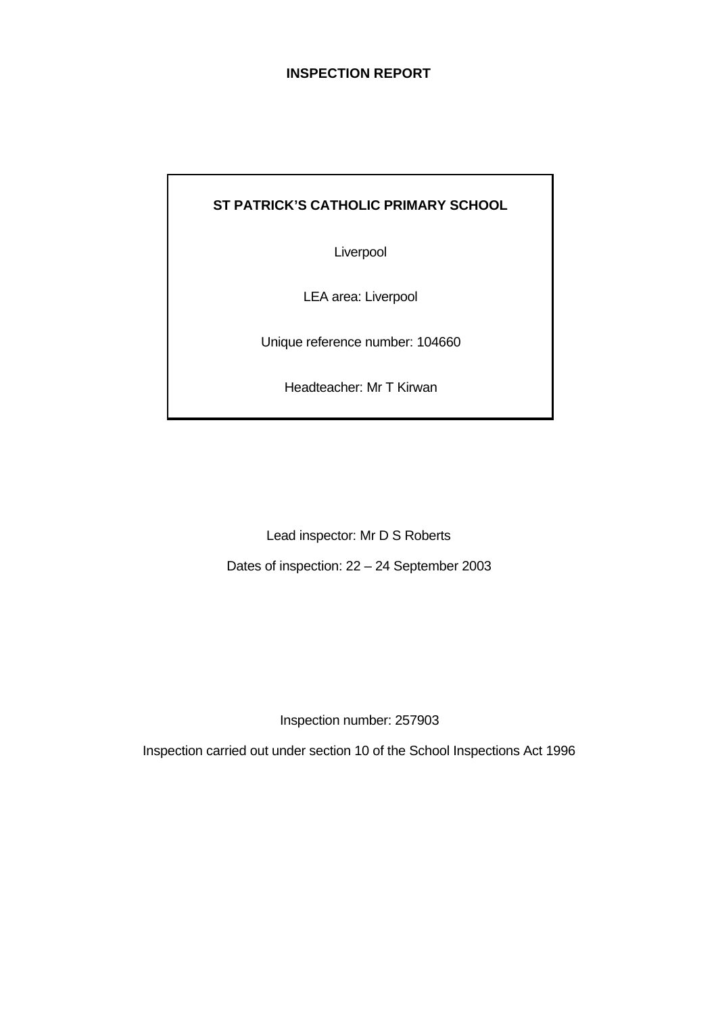# **INSPECTION REPORT**

# **ST PATRICK'S CATHOLIC PRIMARY SCHOOL**

Liverpool

LEA area: Liverpool

Unique reference number: 104660

Headteacher: Mr T Kirwan

Lead inspector: Mr D S Roberts

Dates of inspection: 22 – 24 September 2003

Inspection number: 257903

Inspection carried out under section 10 of the School Inspections Act 1996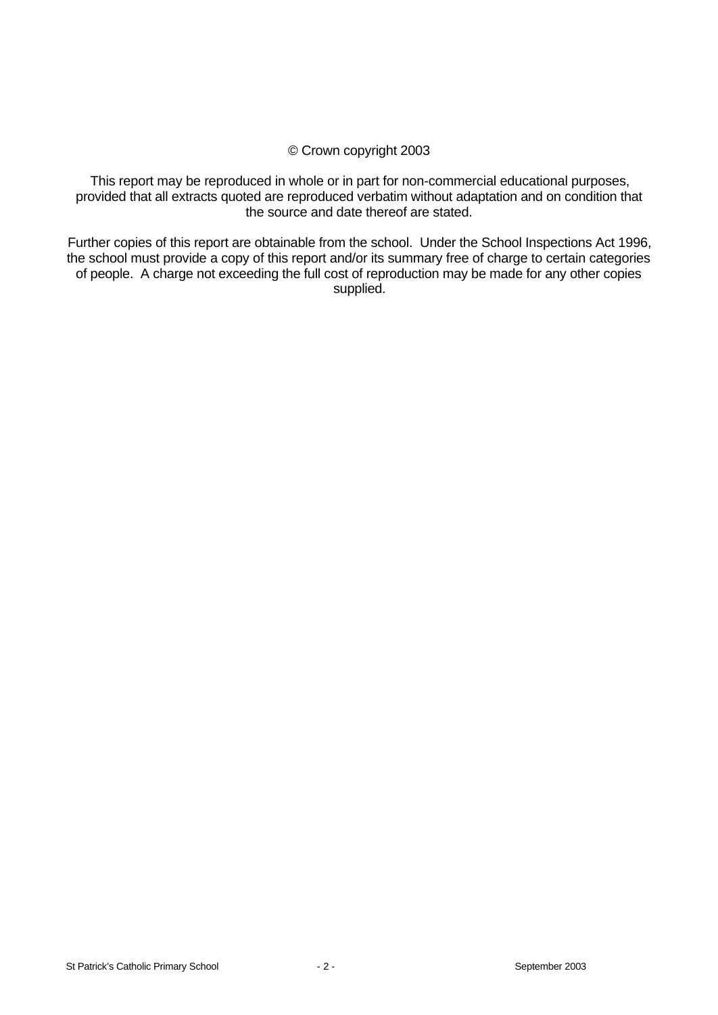# © Crown copyright 2003

This report may be reproduced in whole or in part for non-commercial educational purposes, provided that all extracts quoted are reproduced verbatim without adaptation and on condition that the source and date thereof are stated.

Further copies of this report are obtainable from the school. Under the School Inspections Act 1996, the school must provide a copy of this report and/or its summary free of charge to certain categories of people. A charge not exceeding the full cost of reproduction may be made for any other copies supplied.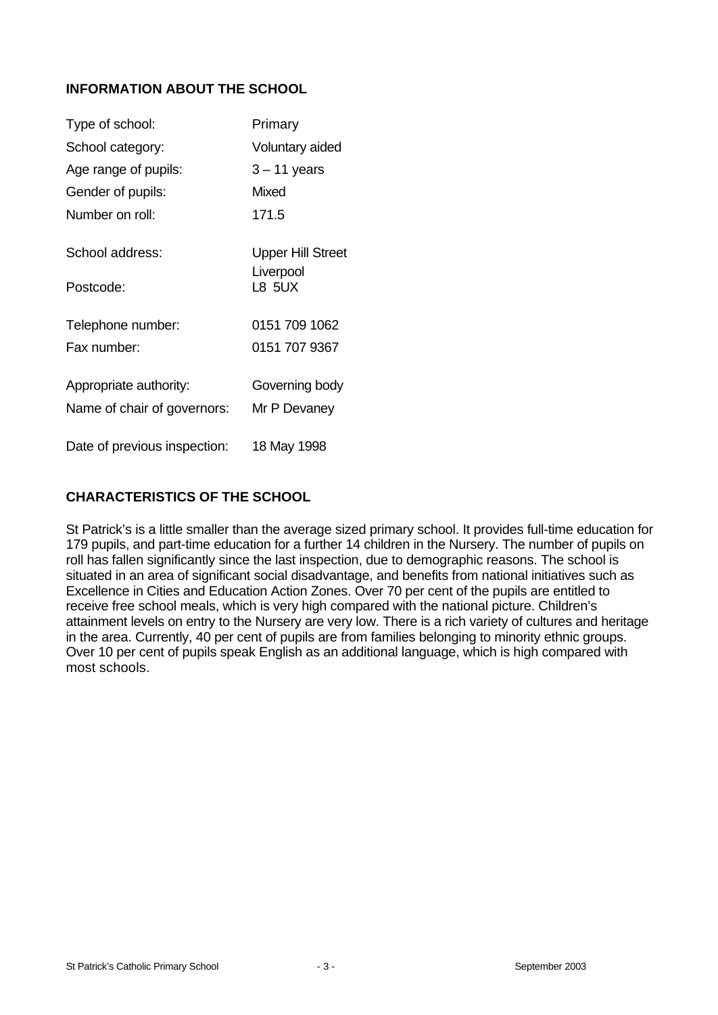# **INFORMATION ABOUT THE SCHOOL**

| Type of school:              | Primary                               |
|------------------------------|---------------------------------------|
| School category:             | Voluntary aided                       |
| Age range of pupils:         | $3 - 11$ years                        |
| Gender of pupils:            | <b>Mixed</b>                          |
| Number on roll:              | 171.5                                 |
| School address:              | <b>Upper Hill Street</b><br>Liverpool |
| Postcode:                    | <b>L8 5UX</b>                         |
| Telephone number:            | 0151 709 1062                         |
| Fax number:                  | 0151 707 9367                         |
| Appropriate authority:       | Governing body                        |
| Name of chair of governors:  | Mr P Devaney                          |
| Date of previous inspection: | 18 May 1998                           |

# **CHARACTERISTICS OF THE SCHOOL**

St Patrick's is a little smaller than the average sized primary school. It provides full-time education for 179 pupils, and part-time education for a further 14 children in the Nursery. The number of pupils on roll has fallen significantly since the last inspection, due to demographic reasons. The school is situated in an area of significant social disadvantage, and benefits from national initiatives such as Excellence in Cities and Education Action Zones. Over 70 per cent of the pupils are entitled to receive free school meals, which is very high compared with the national picture. Children's attainment levels on entry to the Nursery are very low. There is a rich variety of cultures and heritage in the area. Currently, 40 per cent of pupils are from families belonging to minority ethnic groups. Over 10 per cent of pupils speak English as an additional language, which is high compared with most schools.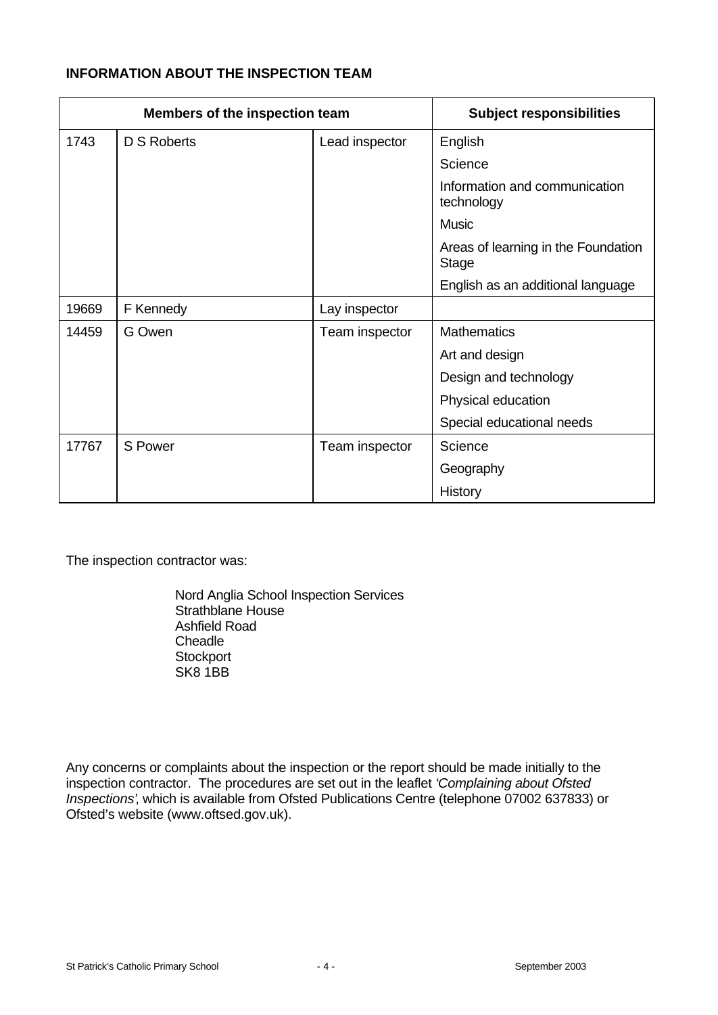# **INFORMATION ABOUT THE INSPECTION TEAM**

| Members of the inspection team |             |                | <b>Subject responsibilities</b>                     |
|--------------------------------|-------------|----------------|-----------------------------------------------------|
| 1743                           | D S Roberts | Lead inspector | English                                             |
|                                |             |                | Science                                             |
|                                |             |                | Information and communication<br>technology         |
|                                |             |                | <b>Music</b>                                        |
|                                |             |                | Areas of learning in the Foundation<br><b>Stage</b> |
|                                |             |                | English as an additional language                   |
| 19669                          | F Kennedy   | Lay inspector  |                                                     |
| 14459                          | G Owen      | Team inspector | <b>Mathematics</b>                                  |
|                                |             |                | Art and design                                      |
|                                |             |                | Design and technology                               |
|                                |             |                | Physical education                                  |
|                                |             |                | Special educational needs                           |
| 17767                          | S Power     | Team inspector | Science                                             |
|                                |             |                | Geography                                           |
|                                |             |                | History                                             |

The inspection contractor was:

Nord Anglia School Inspection Services Strathblane House Ashfield Road **Cheadle Stockport** SK8 1BB

Any concerns or complaints about the inspection or the report should be made initially to the inspection contractor. The procedures are set out in the leaflet *'Complaining about Ofsted Inspections'*, which is available from Ofsted Publications Centre (telephone 07002 637833) or Ofsted's website (www.oftsed.gov.uk).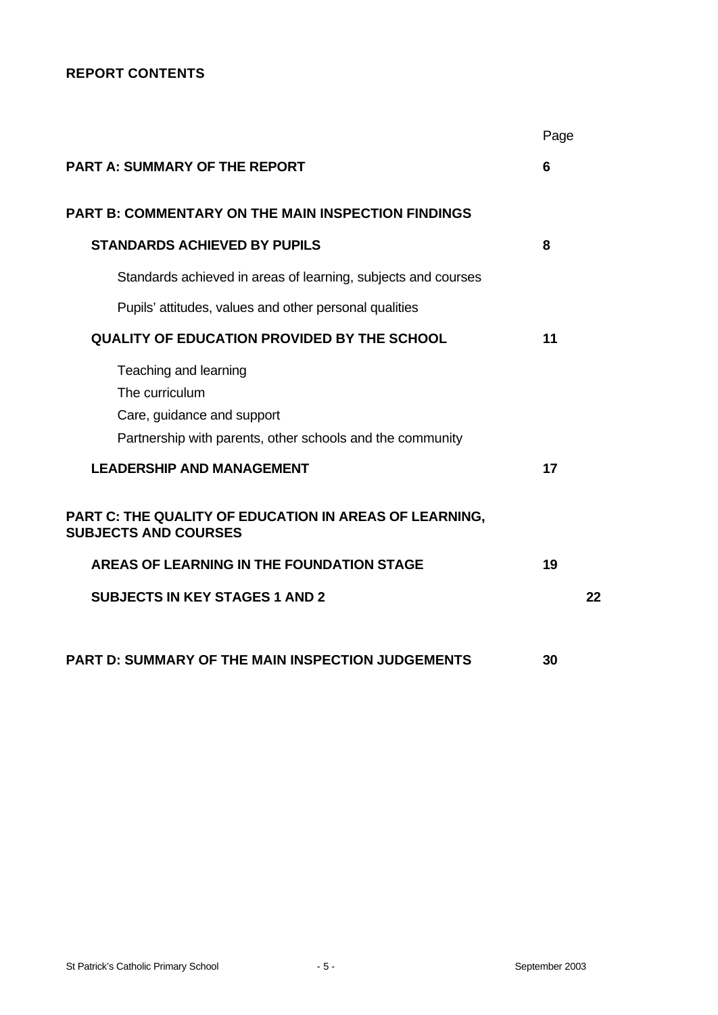# **REPORT CONTENTS**

|                                                                                                                                    | Page |    |
|------------------------------------------------------------------------------------------------------------------------------------|------|----|
| <b>PART A: SUMMARY OF THE REPORT</b>                                                                                               | 6    |    |
| <b>PART B: COMMENTARY ON THE MAIN INSPECTION FINDINGS</b>                                                                          |      |    |
| <b>STANDARDS ACHIEVED BY PUPILS</b>                                                                                                | 8    |    |
| Standards achieved in areas of learning, subjects and courses                                                                      |      |    |
| Pupils' attitudes, values and other personal qualities                                                                             |      |    |
| <b>QUALITY OF EDUCATION PROVIDED BY THE SCHOOL</b>                                                                                 | 11   |    |
| Teaching and learning<br>The curriculum<br>Care, guidance and support<br>Partnership with parents, other schools and the community |      |    |
| <b>LEADERSHIP AND MANAGEMENT</b>                                                                                                   | 17   |    |
| PART C: THE QUALITY OF EDUCATION IN AREAS OF LEARNING,<br><b>SUBJECTS AND COURSES</b>                                              |      |    |
| AREAS OF LEARNING IN THE FOUNDATION STAGE                                                                                          | 19   |    |
| <b>SUBJECTS IN KEY STAGES 1 AND 2</b>                                                                                              |      | 22 |
|                                                                                                                                    |      |    |
| PART D: SUMMARY OF THE MAIN INSPECTION JUDGEMENTS                                                                                  | 30   |    |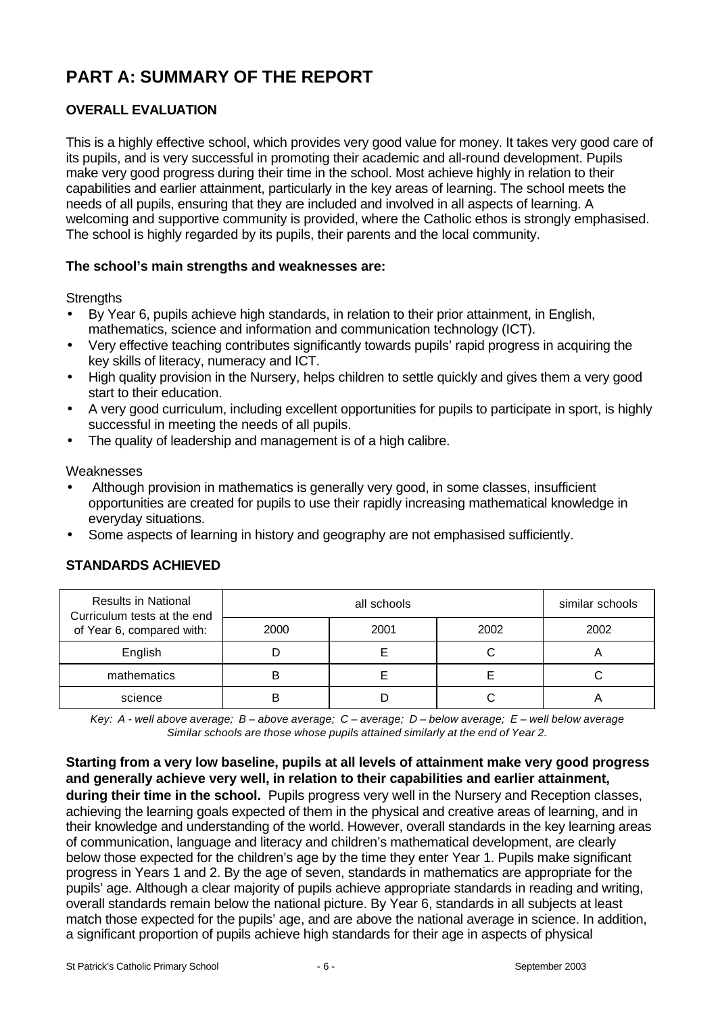# **PART A: SUMMARY OF THE REPORT**

# **OVERALL EVALUATION**

This is a highly effective school, which provides very good value for money. It takes very good care of its pupils, and is very successful in promoting their academic and all-round development. Pupils make very good progress during their time in the school. Most achieve highly in relation to their capabilities and earlier attainment, particularly in the key areas of learning. The school meets the needs of all pupils, ensuring that they are included and involved in all aspects of learning. A welcoming and supportive community is provided, where the Catholic ethos is strongly emphasised. The school is highly regarded by its pupils, their parents and the local community.

# **The school's main strengths and weaknesses are:**

# **Strengths**

- By Year 6, pupils achieve high standards, in relation to their prior attainment, in English, mathematics, science and information and communication technology (ICT).
- Very effective teaching contributes significantly towards pupils' rapid progress in acquiring the key skills of literacy, numeracy and ICT.
- High quality provision in the Nursery, helps children to settle quickly and gives them a very good start to their education.
- A very good curriculum, including excellent opportunities for pupils to participate in sport, is highly successful in meeting the needs of all pupils.
- The quality of leadership and management is of a high calibre.

Weaknesses

- Although provision in mathematics is generally very good, in some classes, insufficient opportunities are created for pupils to use their rapidly increasing mathematical knowledge in everyday situations.
- Some aspects of learning in history and geography are not emphasised sufficiently.

| <b>Results in National</b><br>Curriculum tests at the end |      | similar schools |      |      |
|-----------------------------------------------------------|------|-----------------|------|------|
| of Year 6, compared with:                                 | 2000 | 2001            | 2002 | 2002 |
| English                                                   |      |                 |      |      |
| mathematics                                               | B    |                 |      |      |
| science                                                   |      |                 |      |      |

# **STANDARDS ACHIEVED**

*Key: A - well above average; B – above average; C – average; D – below average; E – well below average Similar schools are those whose pupils attained similarly at the end of Year 2.*

**Starting from a very low baseline, pupils at all levels of attainment make very good progress and generally achieve very well, in relation to their capabilities and earlier attainment, during their time in the school.** Pupils progress very well in the Nursery and Reception classes, achieving the learning goals expected of them in the physical and creative areas of learning, and in their knowledge and understanding of the world. However, overall standards in the key learning areas of communication, language and literacy and children's mathematical development, are clearly below those expected for the children's age by the time they enter Year 1. Pupils make significant progress in Years 1 and 2. By the age of seven, standards in mathematics are appropriate for the pupils' age. Although a clear majority of pupils achieve appropriate standards in reading and writing, overall standards remain below the national picture. By Year 6, standards in all subjects at least match those expected for the pupils' age, and are above the national average in science. In addition, a significant proportion of pupils achieve high standards for their age in aspects of physical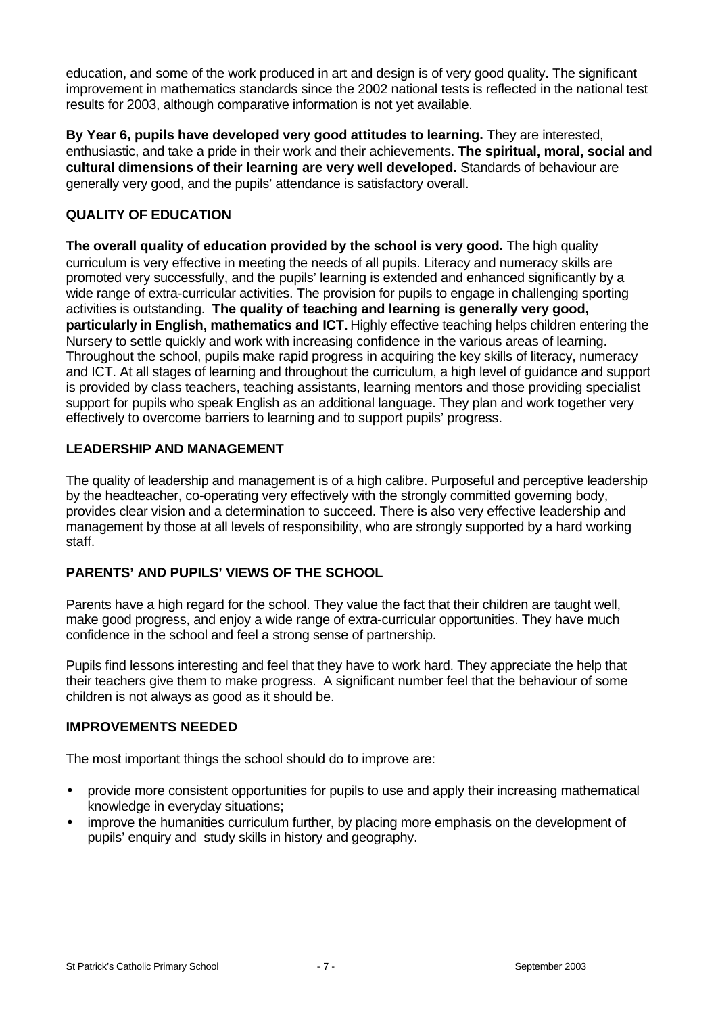education, and some of the work produced in art and design is of very good quality. The significant improvement in mathematics standards since the 2002 national tests is reflected in the national test results for 2003, although comparative information is not yet available.

**By Year 6, pupils have developed very good attitudes to learning.** They are interested, enthusiastic, and take a pride in their work and their achievements. **The spiritual, moral, social and cultural dimensions of their learning are very well developed.** Standards of behaviour are generally very good, and the pupils' attendance is satisfactory overall.

# **QUALITY OF EDUCATION**

**The overall quality of education provided by the school is very good.** The high quality curriculum is very effective in meeting the needs of all pupils. Literacy and numeracy skills are promoted very successfully, and the pupils' learning is extended and enhanced significantly by a wide range of extra-curricular activities. The provision for pupils to engage in challenging sporting activities is outstanding. **The quality of teaching and learning is generally very good, particularly in English, mathematics and ICT.** Highly effective teaching helps children entering the Nursery to settle quickly and work with increasing confidence in the various areas of learning. Throughout the school, pupils make rapid progress in acquiring the key skills of literacy, numeracy and ICT. At all stages of learning and throughout the curriculum, a high level of guidance and support is provided by class teachers, teaching assistants, learning mentors and those providing specialist support for pupils who speak English as an additional language. They plan and work together very effectively to overcome barriers to learning and to support pupils' progress.

#### **LEADERSHIP AND MANAGEMENT**

The quality of leadership and management is of a high calibre. Purposeful and perceptive leadership by the headteacher, co-operating very effectively with the strongly committed governing body, provides clear vision and a determination to succeed. There is also very effective leadership and management by those at all levels of responsibility, who are strongly supported by a hard working staff.

#### **PARENTS' AND PUPILS' VIEWS OF THE SCHOOL**

Parents have a high regard for the school. They value the fact that their children are taught well, make good progress, and enjoy a wide range of extra-curricular opportunities. They have much confidence in the school and feel a strong sense of partnership.

Pupils find lessons interesting and feel that they have to work hard. They appreciate the help that their teachers give them to make progress. A significant number feel that the behaviour of some children is not always as good as it should be.

#### **IMPROVEMENTS NEEDED**

The most important things the school should do to improve are:

- provide more consistent opportunities for pupils to use and apply their increasing mathematical knowledge in everyday situations;
- improve the humanities curriculum further, by placing more emphasis on the development of pupils' enquiry and study skills in history and geography.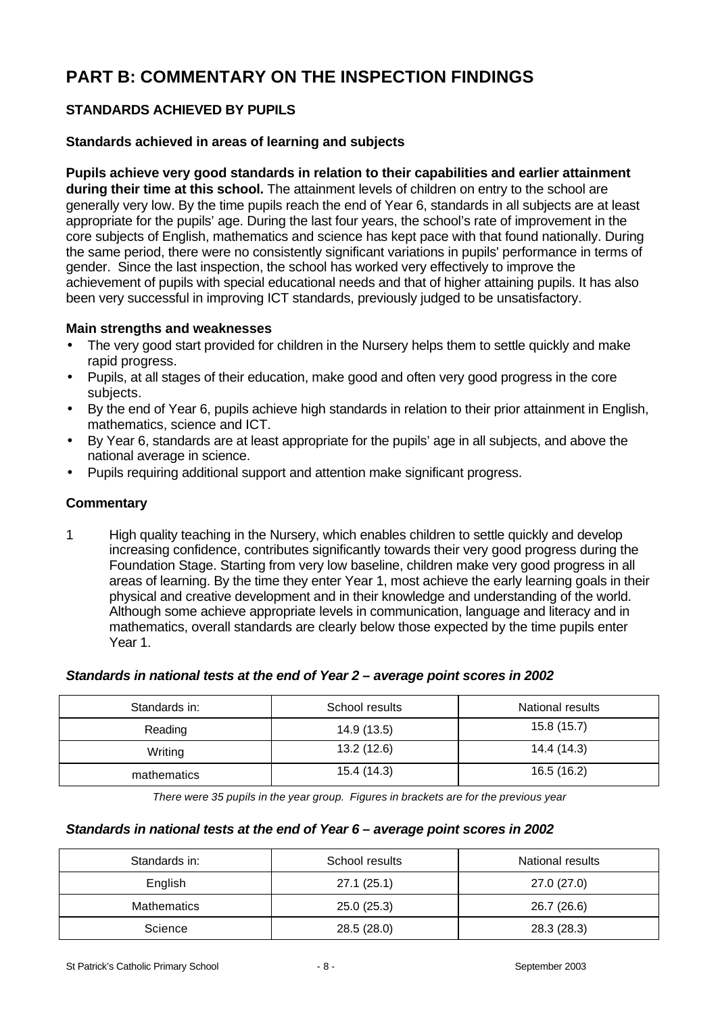# **PART B: COMMENTARY ON THE INSPECTION FINDINGS**

# **STANDARDS ACHIEVED BY PUPILS**

# **Standards achieved in areas of learning and subjects**

**Pupils achieve very good standards in relation to their capabilities and earlier attainment during their time at this school.** The attainment levels of children on entry to the school are generally very low. By the time pupils reach the end of Year 6, standards in all subjects are at least appropriate for the pupils' age. During the last four years, the school's rate of improvement in the core subjects of English, mathematics and science has kept pace with that found nationally. During the same period, there were no consistently significant variations in pupils' performance in terms of gender. Since the last inspection, the school has worked very effectively to improve the achievement of pupils with special educational needs and that of higher attaining pupils. It has also been very successful in improving ICT standards, previously judged to be unsatisfactory.

#### **Main strengths and weaknesses**

- The very good start provided for children in the Nursery helps them to settle quickly and make rapid progress.
- Pupils, at all stages of their education, make good and often very good progress in the core subjects.
- By the end of Year 6, pupils achieve high standards in relation to their prior attainment in English, mathematics, science and ICT.
- By Year 6, standards are at least appropriate for the pupils' age in all subjects, and above the national average in science.
- Pupils requiring additional support and attention make significant progress.

# **Commentary**

1 High quality teaching in the Nursery, which enables children to settle quickly and develop increasing confidence, contributes significantly towards their very good progress during the Foundation Stage. Starting from very low baseline, children make very good progress in all areas of learning. By the time they enter Year 1, most achieve the early learning goals in their physical and creative development and in their knowledge and understanding of the world. Although some achieve appropriate levels in communication, language and literacy and in mathematics, overall standards are clearly below those expected by the time pupils enter Year 1.

#### *Standards in national tests at the end of Year 2 – average point scores in 2002*

| Standards in: | School results | National results |
|---------------|----------------|------------------|
| Reading       | 14.9 (13.5)    | 15.8(15.7)       |
| Writing       | 13.2(12.6)     | 14.4 (14.3)      |
| mathematics   | 15.4 (14.3)    | 16.5(16.2)       |

*There were 35 pupils in the year group. Figures in brackets are for the previous year*

#### *Standards in national tests at the end of Year 6 – average point scores in 2002*

| Standards in:      | School results | National results |
|--------------------|----------------|------------------|
| English            | 27.1(25.1)     | 27.0 (27.0)      |
| <b>Mathematics</b> | 25.0(25.3)     | 26.7 (26.6)      |
| Science            | 28.5 (28.0)    | 28.3 (28.3)      |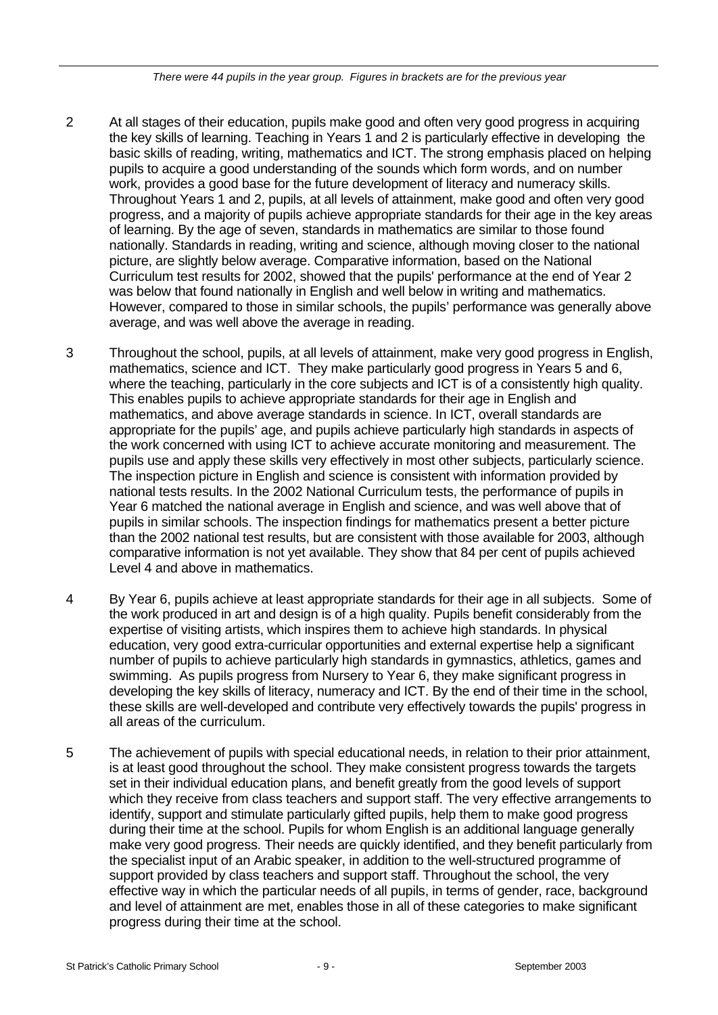*There were 44 pupils in the year group. Figures in brackets are for the previous year*

- 2 At all stages of their education, pupils make good and often very good progress in acquiring the key skills of learning. Teaching in Years 1 and 2 is particularly effective in developing the basic skills of reading, writing, mathematics and ICT. The strong emphasis placed on helping pupils to acquire a good understanding of the sounds which form words, and on number work, provides a good base for the future development of literacy and numeracy skills. Throughout Years 1 and 2, pupils, at all levels of attainment, make good and often very good progress, and a majority of pupils achieve appropriate standards for their age in the key areas of learning. By the age of seven, standards in mathematics are similar to those found nationally. Standards in reading, writing and science, although moving closer to the national picture, are slightly below average. Comparative information, based on the National Curriculum test results for 2002, showed that the pupils' performance at the end of Year 2 was below that found nationally in English and well below in writing and mathematics. However, compared to those in similar schools, the pupils' performance was generally above average, and was well above the average in reading.
- 3 Throughout the school, pupils, at all levels of attainment, make very good progress in English, mathematics, science and ICT. They make particularly good progress in Years 5 and 6, where the teaching, particularly in the core subjects and ICT is of a consistently high quality. This enables pupils to achieve appropriate standards for their age in English and mathematics, and above average standards in science. In ICT, overall standards are appropriate for the pupils' age, and pupils achieve particularly high standards in aspects of the work concerned with using ICT to achieve accurate monitoring and measurement. The pupils use and apply these skills very effectively in most other subjects, particularly science. The inspection picture in English and science is consistent with information provided by national tests results. In the 2002 National Curriculum tests, the performance of pupils in Year 6 matched the national average in English and science, and was well above that of pupils in similar schools. The inspection findings for mathematics present a better picture than the 2002 national test results, but are consistent with those available for 2003, although comparative information is not yet available. They show that 84 per cent of pupils achieved Level 4 and above in mathematics.
- 4 By Year 6, pupils achieve at least appropriate standards for their age in all subjects. Some of the work produced in art and design is of a high quality. Pupils benefit considerably from the expertise of visiting artists, which inspires them to achieve high standards. In physical education, very good extra-curricular opportunities and external expertise help a significant number of pupils to achieve particularly high standards in gymnastics, athletics, games and swimming. As pupils progress from Nursery to Year 6, they make significant progress in developing the key skills of literacy, numeracy and ICT. By the end of their time in the school, these skills are well-developed and contribute very effectively towards the pupils' progress in all areas of the curriculum.
- 5 The achievement of pupils with special educational needs, in relation to their prior attainment, is at least good throughout the school. They make consistent progress towards the targets set in their individual education plans, and benefit greatly from the good levels of support which they receive from class teachers and support staff. The very effective arrangements to identify, support and stimulate particularly gifted pupils, help them to make good progress during their time at the school. Pupils for whom English is an additional language generally make very good progress. Their needs are quickly identified, and they benefit particularly from the specialist input of an Arabic speaker, in addition to the well-structured programme of support provided by class teachers and support staff. Throughout the school, the very effective way in which the particular needs of all pupils, in terms of gender, race, background and level of attainment are met, enables those in all of these categories to make significant progress during their time at the school.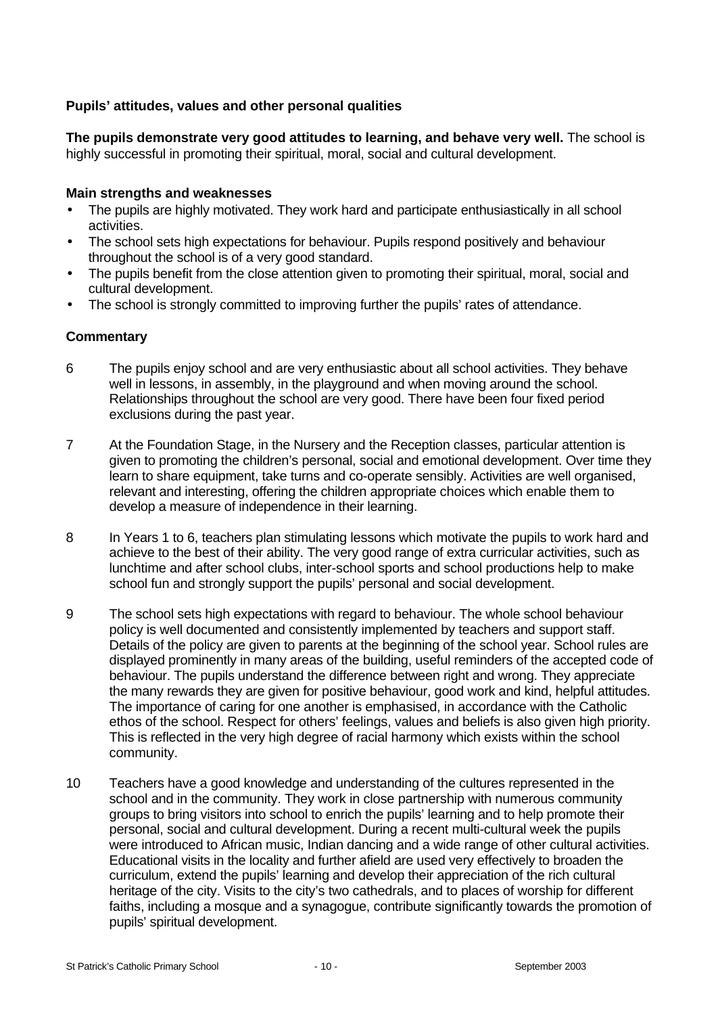# **Pupils' attitudes, values and other personal qualities**

**The pupils demonstrate very good attitudes to learning, and behave very well.** The school is highly successful in promoting their spiritual, moral, social and cultural development.

#### **Main strengths and weaknesses**

- The pupils are highly motivated. They work hard and participate enthusiastically in all school activities.
- The school sets high expectations for behaviour. Pupils respond positively and behaviour throughout the school is of a very good standard.
- The pupils benefit from the close attention given to promoting their spiritual, moral, social and cultural development.
- The school is strongly committed to improving further the pupils' rates of attendance.

- 6 The pupils enjoy school and are very enthusiastic about all school activities. They behave well in lessons, in assembly, in the playground and when moving around the school. Relationships throughout the school are very good. There have been four fixed period exclusions during the past year.
- 7 At the Foundation Stage, in the Nursery and the Reception classes, particular attention is given to promoting the children's personal, social and emotional development. Over time they learn to share equipment, take turns and co-operate sensibly. Activities are well organised, relevant and interesting, offering the children appropriate choices which enable them to develop a measure of independence in their learning.
- 8 In Years 1 to 6, teachers plan stimulating lessons which motivate the pupils to work hard and achieve to the best of their ability. The very good range of extra curricular activities, such as lunchtime and after school clubs, inter-school sports and school productions help to make school fun and strongly support the pupils' personal and social development.
- 9 The school sets high expectations with regard to behaviour. The whole school behaviour policy is well documented and consistently implemented by teachers and support staff. Details of the policy are given to parents at the beginning of the school year. School rules are displayed prominently in many areas of the building, useful reminders of the accepted code of behaviour. The pupils understand the difference between right and wrong. They appreciate the many rewards they are given for positive behaviour, good work and kind, helpful attitudes. The importance of caring for one another is emphasised, in accordance with the Catholic ethos of the school. Respect for others' feelings, values and beliefs is also given high priority. This is reflected in the very high degree of racial harmony which exists within the school community.
- 10 Teachers have a good knowledge and understanding of the cultures represented in the school and in the community. They work in close partnership with numerous community groups to bring visitors into school to enrich the pupils' learning and to help promote their personal, social and cultural development. During a recent multi-cultural week the pupils were introduced to African music, Indian dancing and a wide range of other cultural activities. Educational visits in the locality and further afield are used very effectively to broaden the curriculum, extend the pupils' learning and develop their appreciation of the rich cultural heritage of the city. Visits to the city's two cathedrals, and to places of worship for different faiths, including a mosque and a synagogue, contribute significantly towards the promotion of pupils' spiritual development.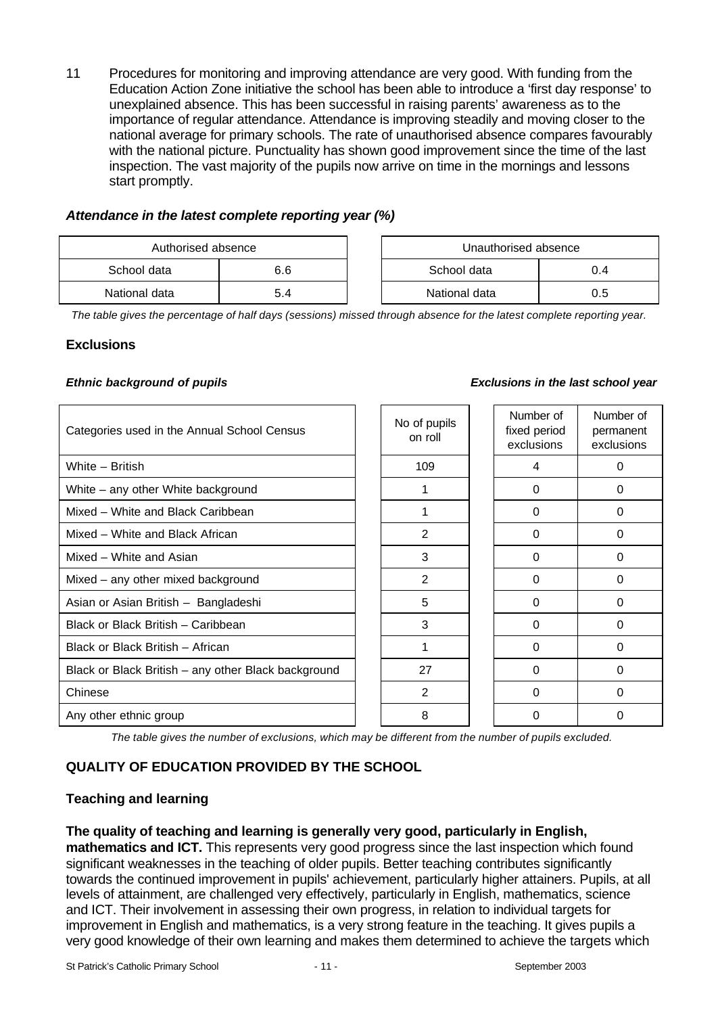11 Procedures for monitoring and improving attendance are very good. With funding from the Education Action Zone initiative the school has been able to introduce a 'first day response' to unexplained absence. This has been successful in raising parents' awareness as to the importance of regular attendance. Attendance is improving steadily and moving closer to the national average for primary schools. The rate of unauthorised absence compares favourably with the national picture. Punctuality has shown good improvement since the time of the last inspection. The vast majority of the pupils now arrive on time in the mornings and lessons start promptly.

#### *Attendance in the latest complete reporting year (%)*

| Authorised absence |     |  |               | Unauthorised absence |  |
|--------------------|-----|--|---------------|----------------------|--|
| School data        | 6.6 |  | School data   |                      |  |
| National data      | 5.4 |  | National data | 0.5                  |  |

| Unauthorised absence |     |  |  |  |
|----------------------|-----|--|--|--|
| School data<br>04    |     |  |  |  |
| National data        | ი 5 |  |  |  |

*The table gives the percentage of half days (sessions) missed through absence for the latest complete reporting year.*

# **Exclusions**

#### *Ethnic background of pupils Exclusions in the last school year*

| Categories used in the Annual School Census         | No of pupils<br>on roll | Number of<br>fixed period<br>exclusions | Number of<br>permanent<br>exclusions |
|-----------------------------------------------------|-------------------------|-----------------------------------------|--------------------------------------|
| White - British                                     | 109                     | 4                                       | 0                                    |
| White - any other White background                  |                         | $\Omega$                                | 0                                    |
| Mixed - White and Black Caribbean                   |                         | $\Omega$                                | 0                                    |
| Mixed – White and Black African                     | 2                       | $\Omega$                                | 0                                    |
| Mixed - White and Asian                             | 3                       | $\Omega$                                | 0                                    |
| Mixed - any other mixed background                  | 2                       | $\Omega$                                | 0                                    |
| Asian or Asian British - Bangladeshi                | 5                       | $\Omega$                                | 0                                    |
| Black or Black British - Caribbean                  | 3                       | $\Omega$                                | $\Omega$                             |
| Black or Black British - African                    | 1                       | $\Omega$                                | 0                                    |
| Black or Black British - any other Black background | 27                      | $\Omega$                                | 0                                    |
| Chinese                                             | 2                       | $\Omega$                                | 0                                    |
| Any other ethnic group                              | 8                       | $\Omega$                                | 0                                    |

*The table gives the number of exclusions, which may be different from the number of pupils excluded.*

# **QUALITY OF EDUCATION PROVIDED BY THE SCHOOL**

# **Teaching and learning**

#### **The quality of teaching and learning is generally very good, particularly in English,**

**mathematics and ICT.** This represents very good progress since the last inspection which found significant weaknesses in the teaching of older pupils. Better teaching contributes significantly towards the continued improvement in pupils' achievement, particularly higher attainers. Pupils, at all levels of attainment, are challenged very effectively, particularly in English, mathematics, science and ICT. Their involvement in assessing their own progress, in relation to individual targets for improvement in English and mathematics, is a very strong feature in the teaching. It gives pupils a very good knowledge of their own learning and makes them determined to achieve the targets which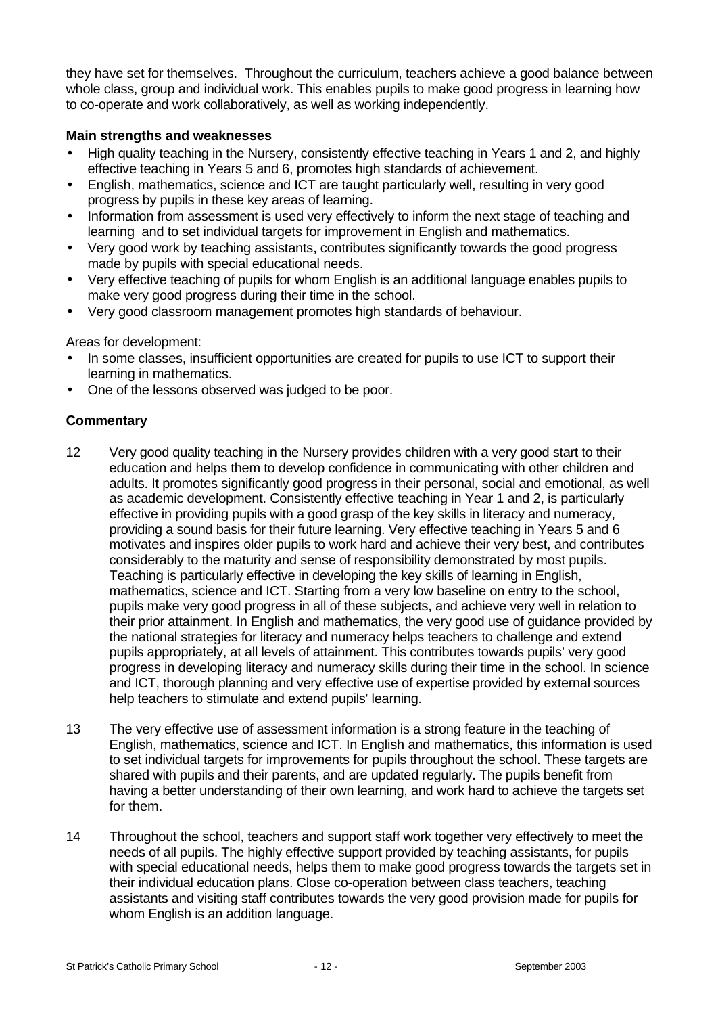they have set for themselves. Throughout the curriculum, teachers achieve a good balance between whole class, group and individual work. This enables pupils to make good progress in learning how to co-operate and work collaboratively, as well as working independently.

# **Main strengths and weaknesses**

- High quality teaching in the Nursery, consistently effective teaching in Years 1 and 2, and highly effective teaching in Years 5 and 6, promotes high standards of achievement.
- English, mathematics, science and ICT are taught particularly well, resulting in very good progress by pupils in these key areas of learning.
- Information from assessment is used very effectively to inform the next stage of teaching and learning and to set individual targets for improvement in English and mathematics.
- Very good work by teaching assistants, contributes significantly towards the good progress made by pupils with special educational needs.
- Very effective teaching of pupils for whom English is an additional language enables pupils to make very good progress during their time in the school.
- Very good classroom management promotes high standards of behaviour.

Areas for development:

- In some classes, insufficient opportunities are created for pupils to use ICT to support their learning in mathematics.
- One of the lessons observed was judged to be poor.

- 12 Very good quality teaching in the Nursery provides children with a very good start to their education and helps them to develop confidence in communicating with other children and adults. It promotes significantly good progress in their personal, social and emotional, as well as academic development. Consistently effective teaching in Year 1 and 2, is particularly effective in providing pupils with a good grasp of the key skills in literacy and numeracy, providing a sound basis for their future learning. Very effective teaching in Years 5 and 6 motivates and inspires older pupils to work hard and achieve their very best, and contributes considerably to the maturity and sense of responsibility demonstrated by most pupils. Teaching is particularly effective in developing the key skills of learning in English, mathematics, science and ICT. Starting from a very low baseline on entry to the school, pupils make very good progress in all of these subjects, and achieve very well in relation to their prior attainment. In English and mathematics, the very good use of guidance provided by the national strategies for literacy and numeracy helps teachers to challenge and extend pupils appropriately, at all levels of attainment. This contributes towards pupils' very good progress in developing literacy and numeracy skills during their time in the school. In science and ICT, thorough planning and very effective use of expertise provided by external sources help teachers to stimulate and extend pupils' learning.
- 13 The very effective use of assessment information is a strong feature in the teaching of English, mathematics, science and ICT. In English and mathematics, this information is used to set individual targets for improvements for pupils throughout the school. These targets are shared with pupils and their parents, and are updated regularly. The pupils benefit from having a better understanding of their own learning, and work hard to achieve the targets set for them.
- 14 Throughout the school, teachers and support staff work together very effectively to meet the needs of all pupils. The highly effective support provided by teaching assistants, for pupils with special educational needs, helps them to make good progress towards the targets set in their individual education plans. Close co-operation between class teachers, teaching assistants and visiting staff contributes towards the very good provision made for pupils for whom English is an addition language.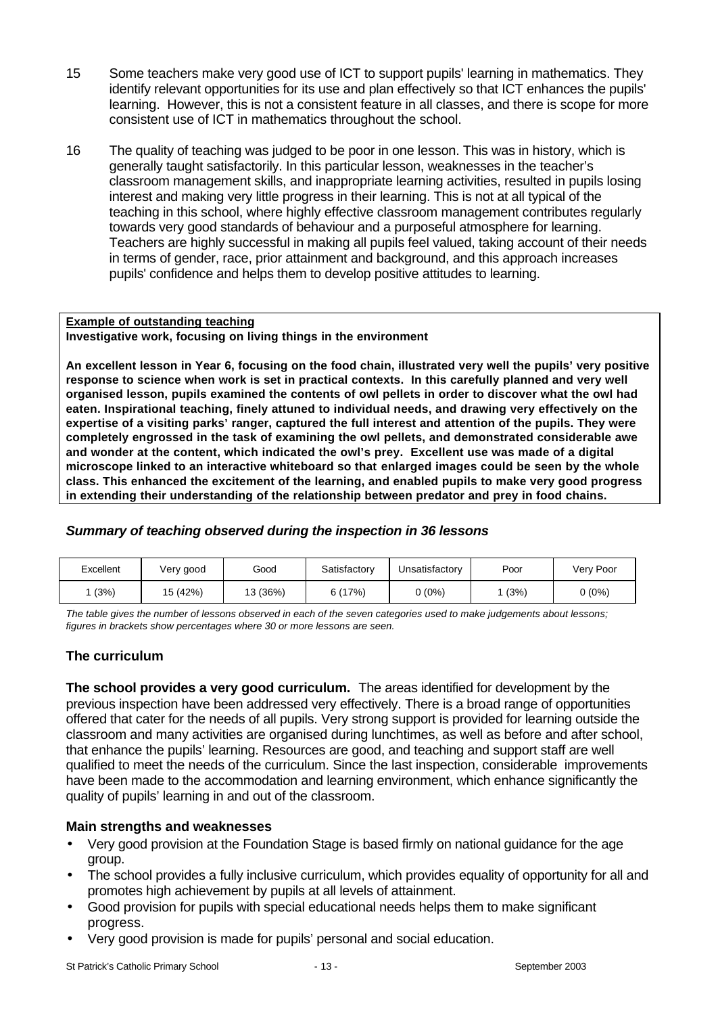- 15 Some teachers make very good use of ICT to support pupils' learning in mathematics. They identify relevant opportunities for its use and plan effectively so that ICT enhances the pupils' learning. However, this is not a consistent feature in all classes, and there is scope for more consistent use of ICT in mathematics throughout the school.
- 16 The quality of teaching was judged to be poor in one lesson. This was in history, which is generally taught satisfactorily. In this particular lesson, weaknesses in the teacher's classroom management skills, and inappropriate learning activities, resulted in pupils losing interest and making very little progress in their learning. This is not at all typical of the teaching in this school, where highly effective classroom management contributes regularly towards very good standards of behaviour and a purposeful atmosphere for learning. Teachers are highly successful in making all pupils feel valued, taking account of their needs in terms of gender, race, prior attainment and background, and this approach increases pupils' confidence and helps them to develop positive attitudes to learning.

#### **Example of outstanding teaching Investigative work, focusing on living things in the environment**

**An excellent lesson in Year 6, focusing on the food chain, illustrated very well the pupils' very positive response to science when work is set in practical contexts. In this carefully planned and very well organised lesson, pupils examined the contents of owl pellets in order to discover what the owl had eaten. Inspirational teaching, finely attuned to individual needs, and drawing very effectively on the expertise of a visiting parks' ranger, captured the full interest and attention of the pupils. They were completely engrossed in the task of examining the owl pellets, and demonstrated considerable awe and wonder at the content, which indicated the owl's prey. Excellent use was made of a digital microscope linked to an interactive whiteboard so that enlarged images could be seen by the whole class. This enhanced the excitement of the learning, and enabled pupils to make very good progress in extending their understanding of the relationship between predator and prey in food chains.**

# *Summary of teaching observed during the inspection in 36 lessons*

| Excellent | Very good | Good     | Satisfactory | Unsatisfactorv | Poor | Very Poor |
|-----------|-----------|----------|--------------|----------------|------|-----------|
| (3%)      | 15 (42%)  | 13 (36%) | (17%)        | (0%)           | (3%) | 0 (0%)    |

*The table gives the number of lessons observed in each of the seven categories used to make judgements about lessons; figures in brackets show percentages where 30 or more lessons are seen.*

# **The curriculum**

**The school provides a very good curriculum.** The areas identified for development by the previous inspection have been addressed very effectively. There is a broad range of opportunities offered that cater for the needs of all pupils. Very strong support is provided for learning outside the classroom and many activities are organised during lunchtimes, as well as before and after school, that enhance the pupils' learning. Resources are good, and teaching and support staff are well qualified to meet the needs of the curriculum. Since the last inspection, considerable improvements have been made to the accommodation and learning environment, which enhance significantly the quality of pupils' learning in and out of the classroom.

#### **Main strengths and weaknesses**

- Very good provision at the Foundation Stage is based firmly on national guidance for the age group.
- The school provides a fully inclusive curriculum, which provides equality of opportunity for all and promotes high achievement by pupils at all levels of attainment.
- Good provision for pupils with special educational needs helps them to make significant progress.
- Very good provision is made for pupils' personal and social education.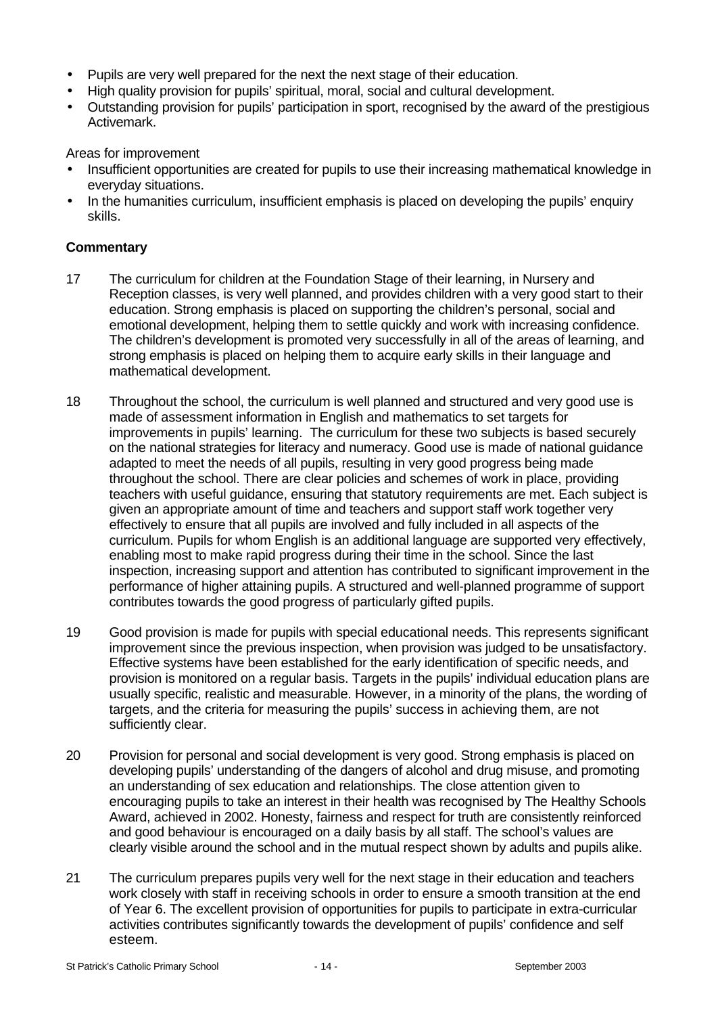- Pupils are very well prepared for the next the next stage of their education.
- High quality provision for pupils' spiritual, moral, social and cultural development.
- Outstanding provision for pupils' participation in sport, recognised by the award of the prestigious Activemark.

Areas for improvement

- Insufficient opportunities are created for pupils to use their increasing mathematical knowledge in everyday situations.
- In the humanities curriculum, insufficient emphasis is placed on developing the pupils' enquiry skills.

- 17 The curriculum for children at the Foundation Stage of their learning, in Nursery and Reception classes, is very well planned, and provides children with a very good start to their education. Strong emphasis is placed on supporting the children's personal, social and emotional development, helping them to settle quickly and work with increasing confidence. The children's development is promoted very successfully in all of the areas of learning, and strong emphasis is placed on helping them to acquire early skills in their language and mathematical development.
- 18 Throughout the school, the curriculum is well planned and structured and very good use is made of assessment information in English and mathematics to set targets for improvements in pupils' learning. The curriculum for these two subjects is based securely on the national strategies for literacy and numeracy. Good use is made of national guidance adapted to meet the needs of all pupils, resulting in very good progress being made throughout the school. There are clear policies and schemes of work in place, providing teachers with useful guidance, ensuring that statutory requirements are met. Each subject is given an appropriate amount of time and teachers and support staff work together very effectively to ensure that all pupils are involved and fully included in all aspects of the curriculum. Pupils for whom English is an additional language are supported very effectively, enabling most to make rapid progress during their time in the school. Since the last inspection, increasing support and attention has contributed to significant improvement in the performance of higher attaining pupils. A structured and well-planned programme of support contributes towards the good progress of particularly gifted pupils.
- 19 Good provision is made for pupils with special educational needs. This represents significant improvement since the previous inspection, when provision was judged to be unsatisfactory. Effective systems have been established for the early identification of specific needs, and provision is monitored on a regular basis. Targets in the pupils' individual education plans are usually specific, realistic and measurable. However, in a minority of the plans, the wording of targets, and the criteria for measuring the pupils' success in achieving them, are not sufficiently clear.
- 20 Provision for personal and social development is very good. Strong emphasis is placed on developing pupils' understanding of the dangers of alcohol and drug misuse, and promoting an understanding of sex education and relationships. The close attention given to encouraging pupils to take an interest in their health was recognised by The Healthy Schools Award, achieved in 2002. Honesty, fairness and respect for truth are consistently reinforced and good behaviour is encouraged on a daily basis by all staff. The school's values are clearly visible around the school and in the mutual respect shown by adults and pupils alike.
- 21 The curriculum prepares pupils very well for the next stage in their education and teachers work closely with staff in receiving schools in order to ensure a smooth transition at the end of Year 6. The excellent provision of opportunities for pupils to participate in extra-curricular activities contributes significantly towards the development of pupils' confidence and self esteem.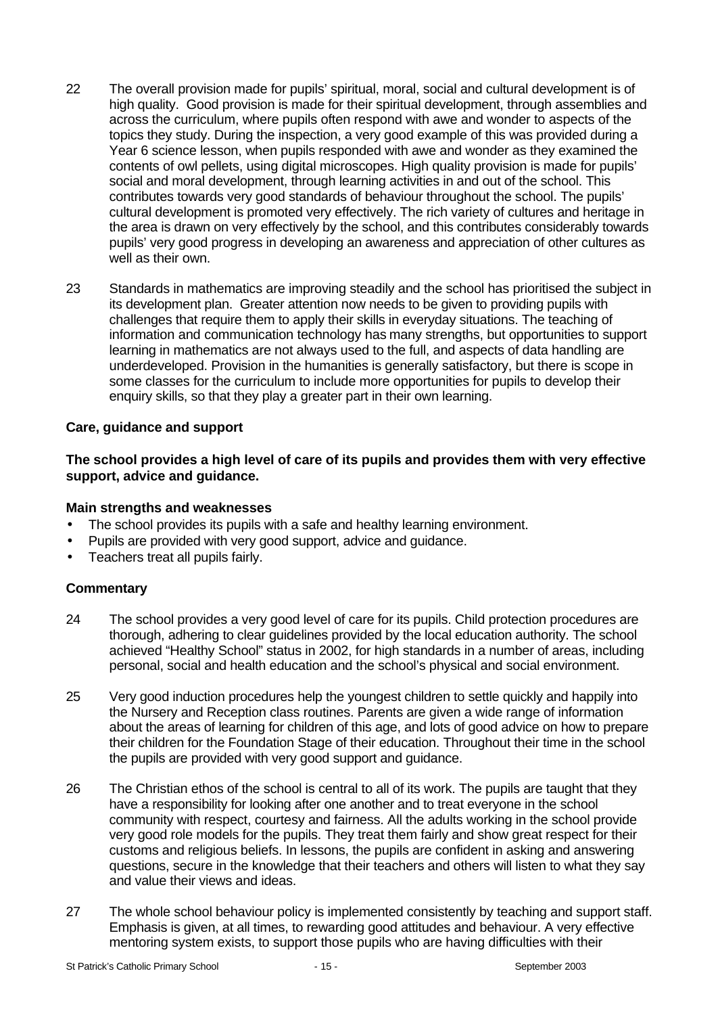- 22 The overall provision made for pupils' spiritual, moral, social and cultural development is of high quality. Good provision is made for their spiritual development, through assemblies and across the curriculum, where pupils often respond with awe and wonder to aspects of the topics they study. During the inspection, a very good example of this was provided during a Year 6 science lesson, when pupils responded with awe and wonder as they examined the contents of owl pellets, using digital microscopes. High quality provision is made for pupils' social and moral development, through learning activities in and out of the school. This contributes towards very good standards of behaviour throughout the school. The pupils' cultural development is promoted very effectively. The rich variety of cultures and heritage in the area is drawn on very effectively by the school, and this contributes considerably towards pupils' very good progress in developing an awareness and appreciation of other cultures as well as their own.
- 23 Standards in mathematics are improving steadily and the school has prioritised the subject in its development plan. Greater attention now needs to be given to providing pupils with challenges that require them to apply their skills in everyday situations. The teaching of information and communication technology has many strengths, but opportunities to support learning in mathematics are not always used to the full, and aspects of data handling are underdeveloped. Provision in the humanities is generally satisfactory, but there is scope in some classes for the curriculum to include more opportunities for pupils to develop their enquiry skills, so that they play a greater part in their own learning.

# **Care, guidance and support**

#### **The school provides a high level of care of its pupils and provides them with very effective support, advice and guidance.**

#### **Main strengths and weaknesses**

- The school provides its pupils with a safe and healthy learning environment.
- Pupils are provided with very good support, advice and guidance.
- Teachers treat all pupils fairly.

- 24 The school provides a very good level of care for its pupils. Child protection procedures are thorough, adhering to clear guidelines provided by the local education authority. The school achieved "Healthy School" status in 2002, for high standards in a number of areas, including personal, social and health education and the school's physical and social environment.
- 25 Very good induction procedures help the youngest children to settle quickly and happily into the Nursery and Reception class routines. Parents are given a wide range of information about the areas of learning for children of this age, and lots of good advice on how to prepare their children for the Foundation Stage of their education. Throughout their time in the school the pupils are provided with very good support and guidance.
- 26 The Christian ethos of the school is central to all of its work. The pupils are taught that they have a responsibility for looking after one another and to treat everyone in the school community with respect, courtesy and fairness. All the adults working in the school provide very good role models for the pupils. They treat them fairly and show great respect for their customs and religious beliefs. In lessons, the pupils are confident in asking and answering questions, secure in the knowledge that their teachers and others will listen to what they say and value their views and ideas.
- 27 The whole school behaviour policy is implemented consistently by teaching and support staff. Emphasis is given, at all times, to rewarding good attitudes and behaviour. A very effective mentoring system exists, to support those pupils who are having difficulties with their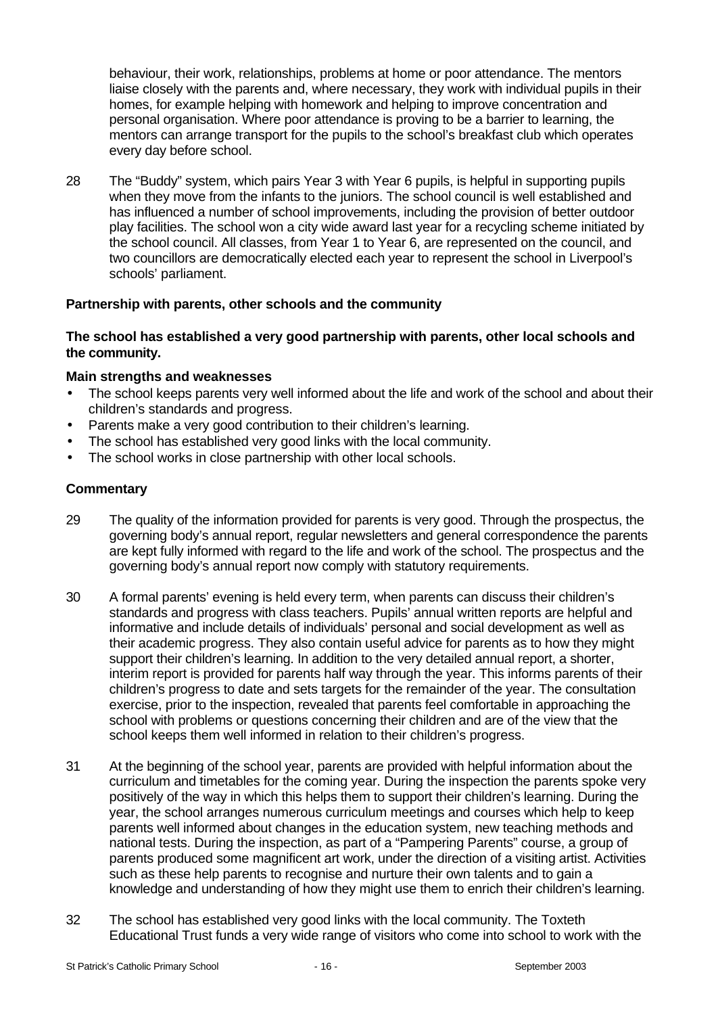behaviour, their work, relationships, problems at home or poor attendance. The mentors liaise closely with the parents and, where necessary, they work with individual pupils in their homes, for example helping with homework and helping to improve concentration and personal organisation. Where poor attendance is proving to be a barrier to learning, the mentors can arrange transport for the pupils to the school's breakfast club which operates every day before school.

28 The "Buddy" system, which pairs Year 3 with Year 6 pupils, is helpful in supporting pupils when they move from the infants to the juniors. The school council is well established and has influenced a number of school improvements, including the provision of better outdoor play facilities. The school won a city wide award last year for a recycling scheme initiated by the school council. All classes, from Year 1 to Year 6, are represented on the council, and two councillors are democratically elected each year to represent the school in Liverpool's schools' parliament.

# **Partnership with parents, other schools and the community**

# **The school has established a very good partnership with parents, other local schools and the community.**

#### **Main strengths and weaknesses**

- The school keeps parents very well informed about the life and work of the school and about their children's standards and progress.
- Parents make a very good contribution to their children's learning.
- The school has established very good links with the local community.
- The school works in close partnership with other local schools.

- 29 The quality of the information provided for parents is very good. Through the prospectus, the governing body's annual report, regular newsletters and general correspondence the parents are kept fully informed with regard to the life and work of the school. The prospectus and the governing body's annual report now comply with statutory requirements.
- 30 A formal parents' evening is held every term, when parents can discuss their children's standards and progress with class teachers. Pupils' annual written reports are helpful and informative and include details of individuals' personal and social development as well as their academic progress. They also contain useful advice for parents as to how they might support their children's learning. In addition to the very detailed annual report, a shorter, interim report is provided for parents half way through the year. This informs parents of their children's progress to date and sets targets for the remainder of the year. The consultation exercise, prior to the inspection, revealed that parents feel comfortable in approaching the school with problems or questions concerning their children and are of the view that the school keeps them well informed in relation to their children's progress.
- 31 At the beginning of the school year, parents are provided with helpful information about the curriculum and timetables for the coming year. During the inspection the parents spoke very positively of the way in which this helps them to support their children's learning. During the year, the school arranges numerous curriculum meetings and courses which help to keep parents well informed about changes in the education system, new teaching methods and national tests. During the inspection, as part of a "Pampering Parents" course, a group of parents produced some magnificent art work, under the direction of a visiting artist. Activities such as these help parents to recognise and nurture their own talents and to gain a knowledge and understanding of how they might use them to enrich their children's learning.
- 32 The school has established very good links with the local community. The Toxteth Educational Trust funds a very wide range of visitors who come into school to work with the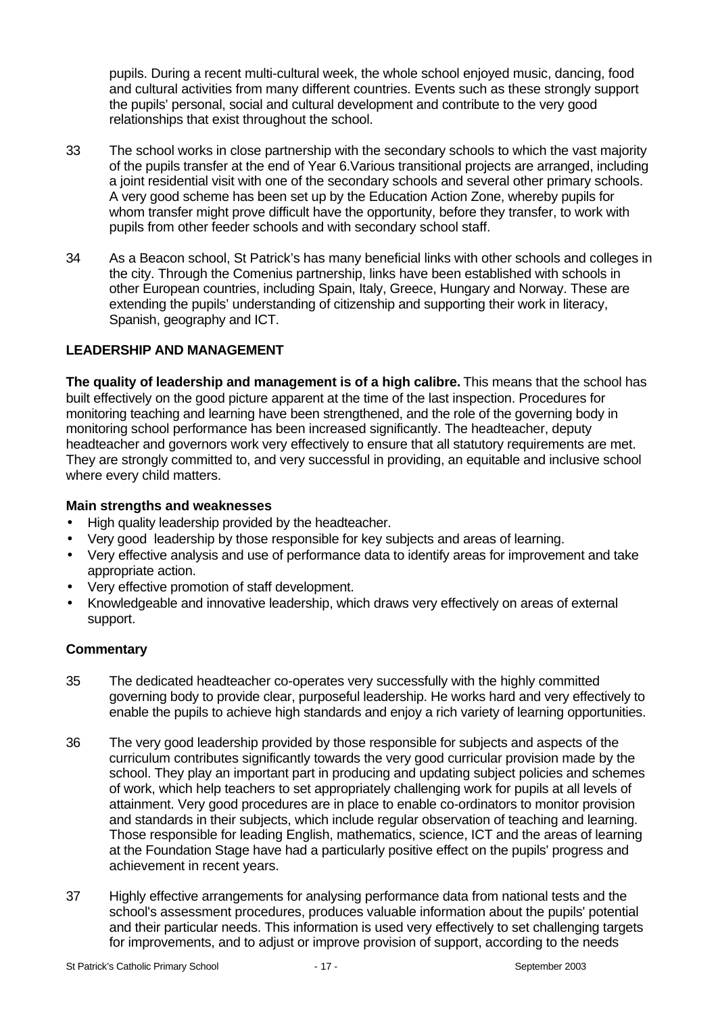pupils. During a recent multi-cultural week, the whole school enjoyed music, dancing, food and cultural activities from many different countries. Events such as these strongly support the pupils' personal, social and cultural development and contribute to the very good relationships that exist throughout the school.

- 33 The school works in close partnership with the secondary schools to which the vast majority of the pupils transfer at the end of Year 6.Various transitional projects are arranged, including a joint residential visit with one of the secondary schools and several other primary schools. A very good scheme has been set up by the Education Action Zone, whereby pupils for whom transfer might prove difficult have the opportunity, before they transfer, to work with pupils from other feeder schools and with secondary school staff.
- 34 As a Beacon school, St Patrick's has many beneficial links with other schools and colleges in the city. Through the Comenius partnership, links have been established with schools in other European countries, including Spain, Italy, Greece, Hungary and Norway. These are extending the pupils' understanding of citizenship and supporting their work in literacy, Spanish, geography and ICT.

# **LEADERSHIP AND MANAGEMENT**

**The quality of leadership and management is of a high calibre.** This means that the school has built effectively on the good picture apparent at the time of the last inspection. Procedures for monitoring teaching and learning have been strengthened, and the role of the governing body in monitoring school performance has been increased significantly. The headteacher, deputy headteacher and governors work very effectively to ensure that all statutory requirements are met. They are strongly committed to, and very successful in providing, an equitable and inclusive school where every child matters.

#### **Main strengths and weaknesses**

- High quality leadership provided by the headteacher.
- Very good leadership by those responsible for key subjects and areas of learning.
- Very effective analysis and use of performance data to identify areas for improvement and take appropriate action.
- Very effective promotion of staff development.
- Knowledgeable and innovative leadership, which draws very effectively on areas of external support.

- 35 The dedicated headteacher co-operates very successfully with the highly committed governing body to provide clear, purposeful leadership. He works hard and very effectively to enable the pupils to achieve high standards and enjoy a rich variety of learning opportunities.
- 36 The very good leadership provided by those responsible for subjects and aspects of the curriculum contributes significantly towards the very good curricular provision made by the school. They play an important part in producing and updating subject policies and schemes of work, which help teachers to set appropriately challenging work for pupils at all levels of attainment. Very good procedures are in place to enable co-ordinators to monitor provision and standards in their subjects, which include regular observation of teaching and learning. Those responsible for leading English, mathematics, science, ICT and the areas of learning at the Foundation Stage have had a particularly positive effect on the pupils' progress and achievement in recent years.
- 37 Highly effective arrangements for analysing performance data from national tests and the school's assessment procedures, produces valuable information about the pupils' potential and their particular needs. This information is used very effectively to set challenging targets for improvements, and to adjust or improve provision of support, according to the needs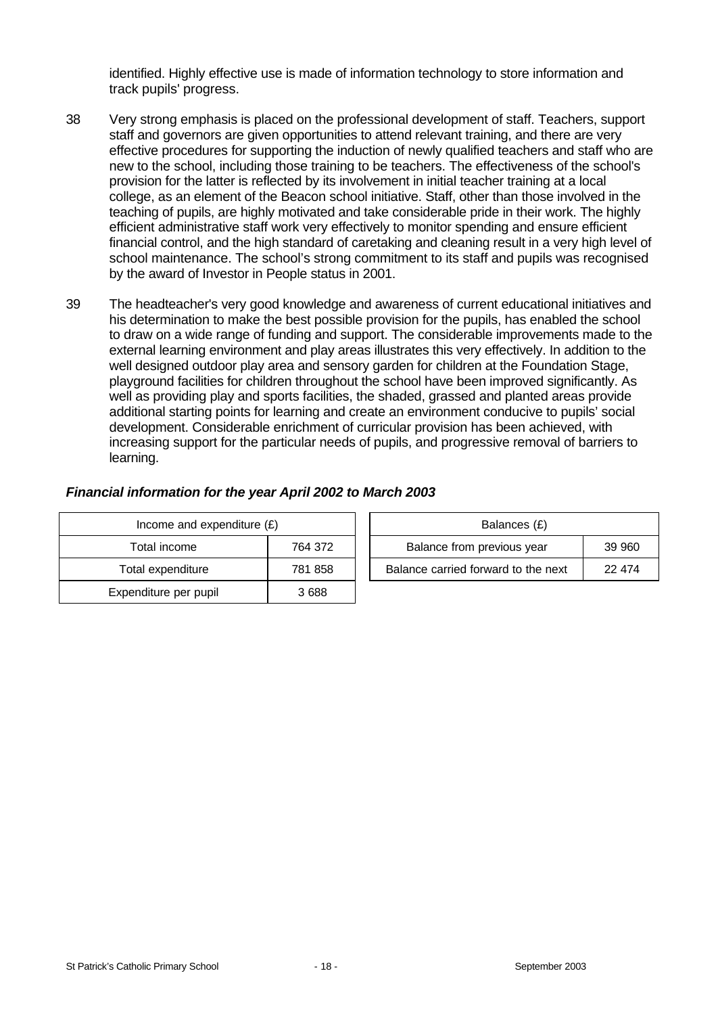identified. Highly effective use is made of information technology to store information and track pupils' progress.

- 38 Very strong emphasis is placed on the professional development of staff. Teachers, support staff and governors are given opportunities to attend relevant training, and there are very effective procedures for supporting the induction of newly qualified teachers and staff who are new to the school, including those training to be teachers. The effectiveness of the school's provision for the latter is reflected by its involvement in initial teacher training at a local college, as an element of the Beacon school initiative. Staff, other than those involved in the teaching of pupils, are highly motivated and take considerable pride in their work. The highly efficient administrative staff work very effectively to monitor spending and ensure efficient financial control, and the high standard of caretaking and cleaning result in a very high level of school maintenance. The school's strong commitment to its staff and pupils was recognised by the award of Investor in People status in 2001.
- 39 The headteacher's very good knowledge and awareness of current educational initiatives and his determination to make the best possible provision for the pupils, has enabled the school to draw on a wide range of funding and support. The considerable improvements made to the external learning environment and play areas illustrates this very effectively. In addition to the well designed outdoor play area and sensory garden for children at the Foundation Stage, playground facilities for children throughout the school have been improved significantly. As well as providing play and sports facilities, the shaded, grassed and planted areas provide additional starting points for learning and create an environment conducive to pupils' social development. Considerable enrichment of curricular provision has been achieved, with increasing support for the particular needs of pupils, and progressive removal of barriers to learning.

#### *Financial information for the year April 2002 to March 2003*

| Income and expenditure $(E)$ |         |  | Balances (£)                   |
|------------------------------|---------|--|--------------------------------|
| Total income                 | 764 372 |  | Balance from previous year     |
| Total expenditure            | 781 858 |  | Balance carried forward to the |
| Expenditure per pupil        | 3688    |  |                                |

| Income and expenditure $(E)$ |         | Balances (£) |                                      |        |
|------------------------------|---------|--------------|--------------------------------------|--------|
| Total income                 | 764 372 |              | Balance from previous year<br>39 960 |        |
| Total expenditure            | 781 858 |              | Balance carried forward to the next  | 22 474 |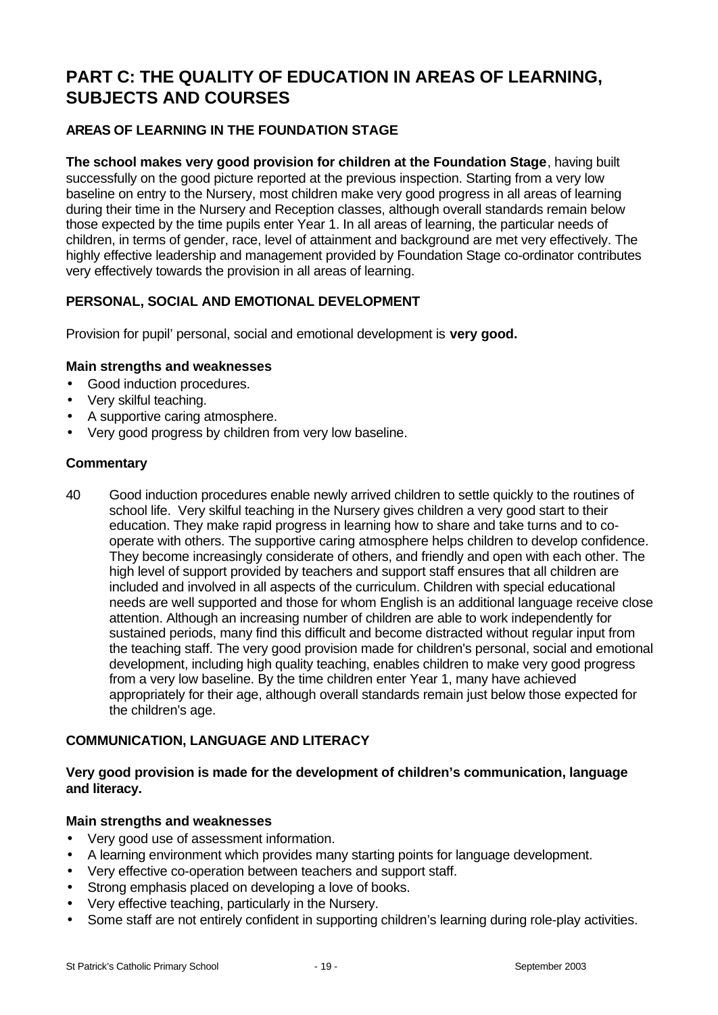# **PART C: THE QUALITY OF EDUCATION IN AREAS OF LEARNING, SUBJECTS AND COURSES**

# **AREAS OF LEARNING IN THE FOUNDATION STAGE**

**The school makes very good provision for children at the Foundation Stage**, having built successfully on the good picture reported at the previous inspection. Starting from a very low baseline on entry to the Nursery, most children make very good progress in all areas of learning during their time in the Nursery and Reception classes, although overall standards remain below those expected by the time pupils enter Year 1. In all areas of learning, the particular needs of children, in terms of gender, race, level of attainment and background are met very effectively. The highly effective leadership and management provided by Foundation Stage co-ordinator contributes very effectively towards the provision in all areas of learning.

# **PERSONAL, SOCIAL AND EMOTIONAL DEVELOPMENT**

Provision for pupil' personal, social and emotional development is **very good.**

#### **Main strengths and weaknesses**

- Good induction procedures.
- Very skilful teaching.
- A supportive caring atmosphere.
- Very good progress by children from very low baseline.

#### **Commentary**

40 Good induction procedures enable newly arrived children to settle quickly to the routines of school life. Very skilful teaching in the Nursery gives children a very good start to their education. They make rapid progress in learning how to share and take turns and to cooperate with others. The supportive caring atmosphere helps children to develop confidence. They become increasingly considerate of others, and friendly and open with each other. The high level of support provided by teachers and support staff ensures that all children are included and involved in all aspects of the curriculum. Children with special educational needs are well supported and those for whom English is an additional language receive close attention. Although an increasing number of children are able to work independently for sustained periods, many find this difficult and become distracted without regular input from the teaching staff. The very good provision made for children's personal, social and emotional development, including high quality teaching, enables children to make very good progress from a very low baseline. By the time children enter Year 1, many have achieved appropriately for their age, although overall standards remain just below those expected for the children's age.

#### **COMMUNICATION, LANGUAGE AND LITERACY**

# **Very good provision is made for the development of children's communication, language and literacy.**

#### **Main strengths and weaknesses**

- Very good use of assessment information.
- A learning environment which provides many starting points for language development.
- Very effective co-operation between teachers and support staff.
- Strong emphasis placed on developing a love of books.
- Very effective teaching, particularly in the Nursery.
- Some staff are not entirely confident in supporting children's learning during role-play activities.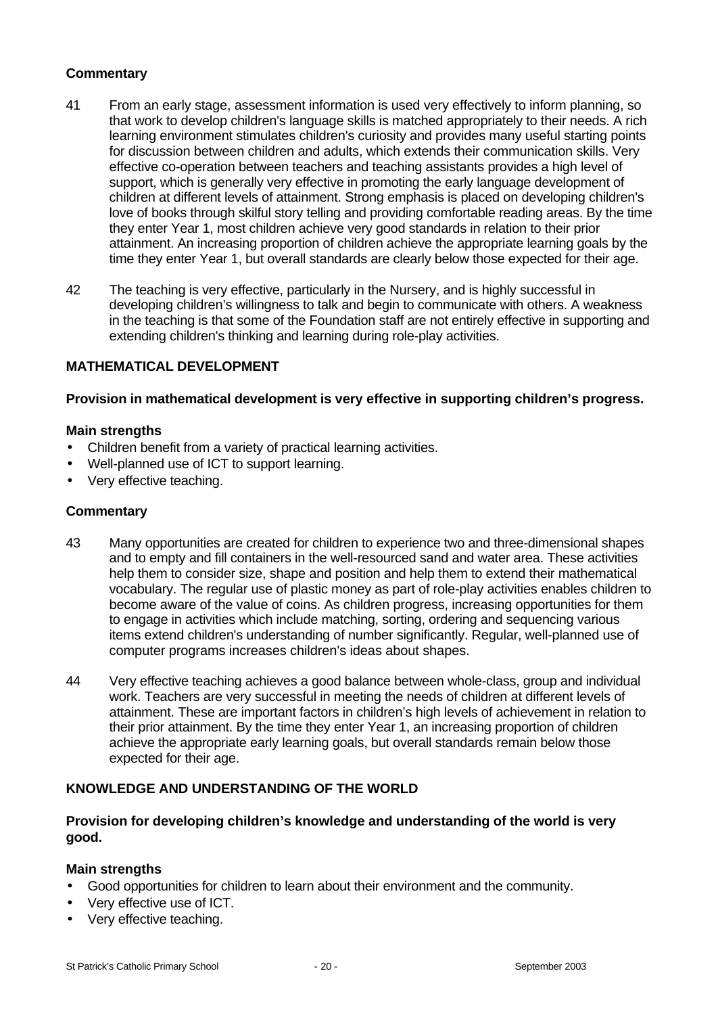# **Commentary**

- 41 From an early stage, assessment information is used very effectively to inform planning, so that work to develop children's language skills is matched appropriately to their needs. A rich learning environment stimulates children's curiosity and provides many useful starting points for discussion between children and adults, which extends their communication skills. Very effective co-operation between teachers and teaching assistants provides a high level of support, which is generally very effective in promoting the early language development of children at different levels of attainment. Strong emphasis is placed on developing children's love of books through skilful story telling and providing comfortable reading areas. By the time they enter Year 1, most children achieve very good standards in relation to their prior attainment. An increasing proportion of children achieve the appropriate learning goals by the time they enter Year 1, but overall standards are clearly below those expected for their age.
- 42 The teaching is very effective, particularly in the Nursery, and is highly successful in developing children's willingness to talk and begin to communicate with others. A weakness in the teaching is that some of the Foundation staff are not entirely effective in supporting and extending children's thinking and learning during role-play activities.

#### **MATHEMATICAL DEVELOPMENT**

#### **Provision in mathematical development is very effective in supporting children's progress.**

#### **Main strengths**

- Children benefit from a variety of practical learning activities.
- Well-planned use of ICT to support learning.
- Very effective teaching.

#### **Commentary**

- 43 Many opportunities are created for children to experience two and three-dimensional shapes and to empty and fill containers in the well-resourced sand and water area. These activities help them to consider size, shape and position and help them to extend their mathematical vocabulary. The regular use of plastic money as part of role-play activities enables children to become aware of the value of coins. As children progress, increasing opportunities for them to engage in activities which include matching, sorting, ordering and sequencing various items extend children's understanding of number significantly. Regular, well-planned use of computer programs increases children's ideas about shapes.
- 44 Very effective teaching achieves a good balance between whole-class, group and individual work. Teachers are very successful in meeting the needs of children at different levels of attainment. These are important factors in children's high levels of achievement in relation to their prior attainment. By the time they enter Year 1, an increasing proportion of children achieve the appropriate early learning goals, but overall standards remain below those expected for their age.

#### **KNOWLEDGE AND UNDERSTANDING OF THE WORLD**

#### **Provision for developing children's knowledge and understanding of the world is very good.**

#### **Main strengths**

- Good opportunities for children to learn about their environment and the community.
- Very effective use of ICT.
- Very effective teaching.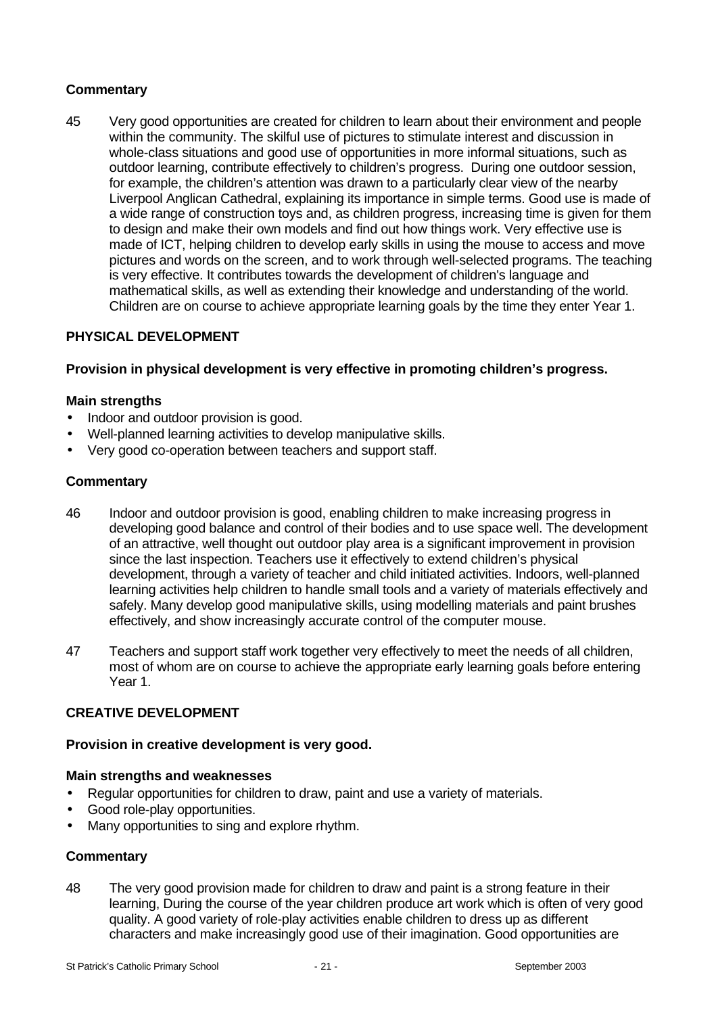# **Commentary**

45 Very good opportunities are created for children to learn about their environment and people within the community. The skilful use of pictures to stimulate interest and discussion in whole-class situations and good use of opportunities in more informal situations, such as outdoor learning, contribute effectively to children's progress. During one outdoor session, for example, the children's attention was drawn to a particularly clear view of the nearby Liverpool Anglican Cathedral, explaining its importance in simple terms. Good use is made of a wide range of construction toys and, as children progress, increasing time is given for them to design and make their own models and find out how things work. Very effective use is made of ICT, helping children to develop early skills in using the mouse to access and move pictures and words on the screen, and to work through well-selected programs. The teaching is very effective. It contributes towards the development of children's language and mathematical skills, as well as extending their knowledge and understanding of the world. Children are on course to achieve appropriate learning goals by the time they enter Year 1.

# **PHYSICAL DEVELOPMENT**

#### **Provision in physical development is very effective in promoting children's progress.**

#### **Main strengths**

- Indoor and outdoor provision is good.
- Well-planned learning activities to develop manipulative skills.
- Very good co-operation between teachers and support staff.

#### **Commentary**

- 46 Indoor and outdoor provision is good, enabling children to make increasing progress in developing good balance and control of their bodies and to use space well. The development of an attractive, well thought out outdoor play area is a significant improvement in provision since the last inspection. Teachers use it effectively to extend children's physical development, through a variety of teacher and child initiated activities. Indoors, well-planned learning activities help children to handle small tools and a variety of materials effectively and safely. Many develop good manipulative skills, using modelling materials and paint brushes effectively, and show increasingly accurate control of the computer mouse.
- 47 Teachers and support staff work together very effectively to meet the needs of all children, most of whom are on course to achieve the appropriate early learning goals before entering Year 1.

#### **CREATIVE DEVELOPMENT**

#### **Provision in creative development is very good.**

#### **Main strengths and weaknesses**

- Regular opportunities for children to draw, paint and use a variety of materials.
- Good role-play opportunities.
- Many opportunities to sing and explore rhythm.

#### **Commentary**

48 The very good provision made for children to draw and paint is a strong feature in their learning, During the course of the year children produce art work which is often of very good quality. A good variety of role-play activities enable children to dress up as different characters and make increasingly good use of their imagination. Good opportunities are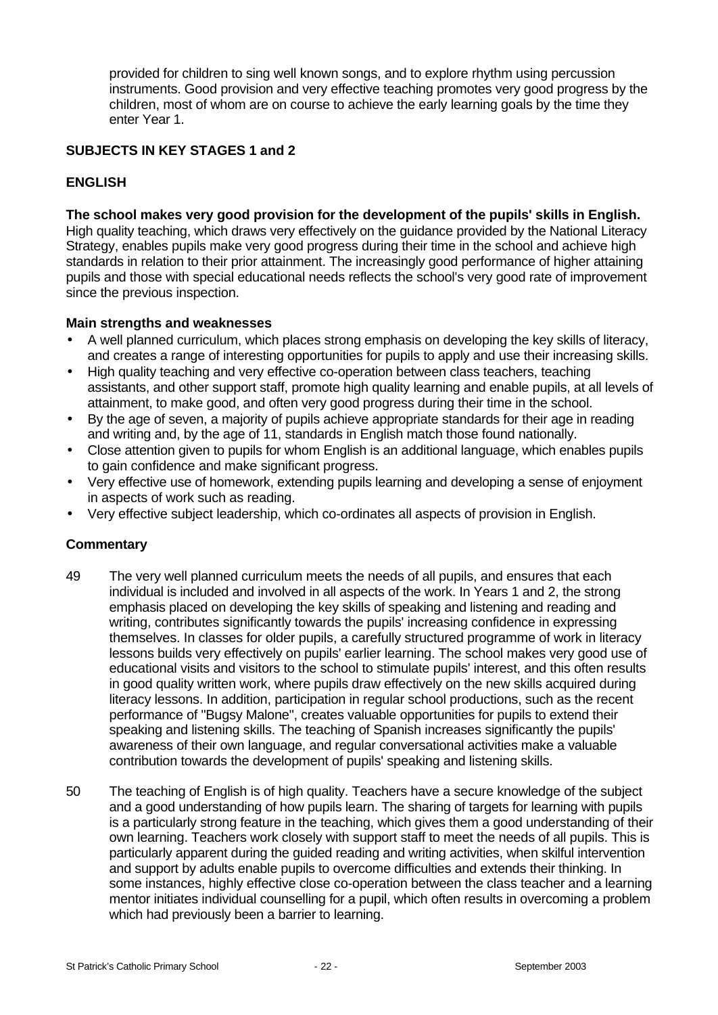provided for children to sing well known songs, and to explore rhythm using percussion instruments. Good provision and very effective teaching promotes very good progress by the children, most of whom are on course to achieve the early learning goals by the time they enter Year 1.

# **SUBJECTS IN KEY STAGES 1 and 2**

# **ENGLISH**

#### **The school makes very good provision for the development of the pupils' skills in English.**

High quality teaching, which draws very effectively on the guidance provided by the National Literacy Strategy, enables pupils make very good progress during their time in the school and achieve high standards in relation to their prior attainment. The increasingly good performance of higher attaining pupils and those with special educational needs reflects the school's very good rate of improvement since the previous inspection.

#### **Main strengths and weaknesses**

- A well planned curriculum, which places strong emphasis on developing the key skills of literacy, and creates a range of interesting opportunities for pupils to apply and use their increasing skills.
- High quality teaching and very effective co-operation between class teachers, teaching assistants, and other support staff, promote high quality learning and enable pupils, at all levels of attainment, to make good, and often very good progress during their time in the school.
- By the age of seven, a majority of pupils achieve appropriate standards for their age in reading and writing and, by the age of 11, standards in English match those found nationally.
- Close attention given to pupils for whom English is an additional language, which enables pupils to gain confidence and make significant progress.
- Very effective use of homework, extending pupils learning and developing a sense of enjoyment in aspects of work such as reading.
- Very effective subject leadership, which co-ordinates all aspects of provision in English.

- 49 The very well planned curriculum meets the needs of all pupils, and ensures that each individual is included and involved in all aspects of the work. In Years 1 and 2, the strong emphasis placed on developing the key skills of speaking and listening and reading and writing, contributes significantly towards the pupils' increasing confidence in expressing themselves. In classes for older pupils, a carefully structured programme of work in literacy lessons builds very effectively on pupils' earlier learning. The school makes very good use of educational visits and visitors to the school to stimulate pupils' interest, and this often results in good quality written work, where pupils draw effectively on the new skills acquired during literacy lessons. In addition, participation in regular school productions, such as the recent performance of "Bugsy Malone", creates valuable opportunities for pupils to extend their speaking and listening skills. The teaching of Spanish increases significantly the pupils' awareness of their own language, and regular conversational activities make a valuable contribution towards the development of pupils' speaking and listening skills.
- 50 The teaching of English is of high quality. Teachers have a secure knowledge of the subject and a good understanding of how pupils learn. The sharing of targets for learning with pupils is a particularly strong feature in the teaching, which gives them a good understanding of their own learning. Teachers work closely with support staff to meet the needs of all pupils. This is particularly apparent during the guided reading and writing activities, when skilful intervention and support by adults enable pupils to overcome difficulties and extends their thinking. In some instances, highly effective close co-operation between the class teacher and a learning mentor initiates individual counselling for a pupil, which often results in overcoming a problem which had previously been a barrier to learning.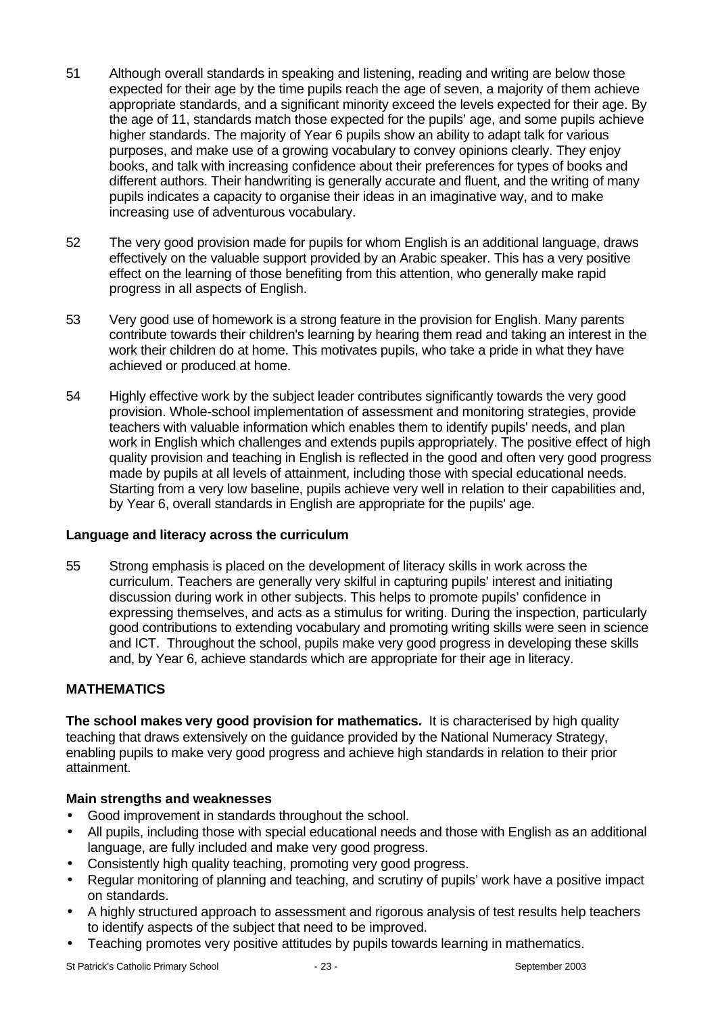- 51 Although overall standards in speaking and listening, reading and writing are below those expected for their age by the time pupils reach the age of seven, a majority of them achieve appropriate standards, and a significant minority exceed the levels expected for their age. By the age of 11, standards match those expected for the pupils' age, and some pupils achieve higher standards. The majority of Year 6 pupils show an ability to adapt talk for various purposes, and make use of a growing vocabulary to convey opinions clearly. They enjoy books, and talk with increasing confidence about their preferences for types of books and different authors. Their handwriting is generally accurate and fluent, and the writing of many pupils indicates a capacity to organise their ideas in an imaginative way, and to make increasing use of adventurous vocabulary.
- 52 The very good provision made for pupils for whom English is an additional language, draws effectively on the valuable support provided by an Arabic speaker. This has a very positive effect on the learning of those benefiting from this attention, who generally make rapid progress in all aspects of English.
- 53 Very good use of homework is a strong feature in the provision for English. Many parents contribute towards their children's learning by hearing them read and taking an interest in the work their children do at home. This motivates pupils, who take a pride in what they have achieved or produced at home.
- 54 Highly effective work by the subject leader contributes significantly towards the very good provision. Whole-school implementation of assessment and monitoring strategies, provide teachers with valuable information which enables them to identify pupils' needs, and plan work in English which challenges and extends pupils appropriately. The positive effect of high quality provision and teaching in English is reflected in the good and often very good progress made by pupils at all levels of attainment, including those with special educational needs. Starting from a very low baseline, pupils achieve very well in relation to their capabilities and, by Year 6, overall standards in English are appropriate for the pupils' age.

#### **Language and literacy across the curriculum**

55 Strong emphasis is placed on the development of literacy skills in work across the curriculum. Teachers are generally very skilful in capturing pupils' interest and initiating discussion during work in other subjects. This helps to promote pupils' confidence in expressing themselves, and acts as a stimulus for writing. During the inspection, particularly good contributions to extending vocabulary and promoting writing skills were seen in science and ICT. Throughout the school, pupils make very good progress in developing these skills and, by Year 6, achieve standards which are appropriate for their age in literacy.

#### **MATHEMATICS**

**The school makes very good provision for mathematics.** It is characterised by high quality teaching that draws extensively on the guidance provided by the National Numeracy Strategy, enabling pupils to make very good progress and achieve high standards in relation to their prior attainment.

#### **Main strengths and weaknesses**

- Good improvement in standards throughout the school.
- All pupils, including those with special educational needs and those with English as an additional language, are fully included and make very good progress.
- Consistently high quality teaching, promoting very good progress.
- Regular monitoring of planning and teaching, and scrutiny of pupils' work have a positive impact on standards.
- A highly structured approach to assessment and rigorous analysis of test results help teachers to identify aspects of the subject that need to be improved.
- Teaching promotes very positive attitudes by pupils towards learning in mathematics.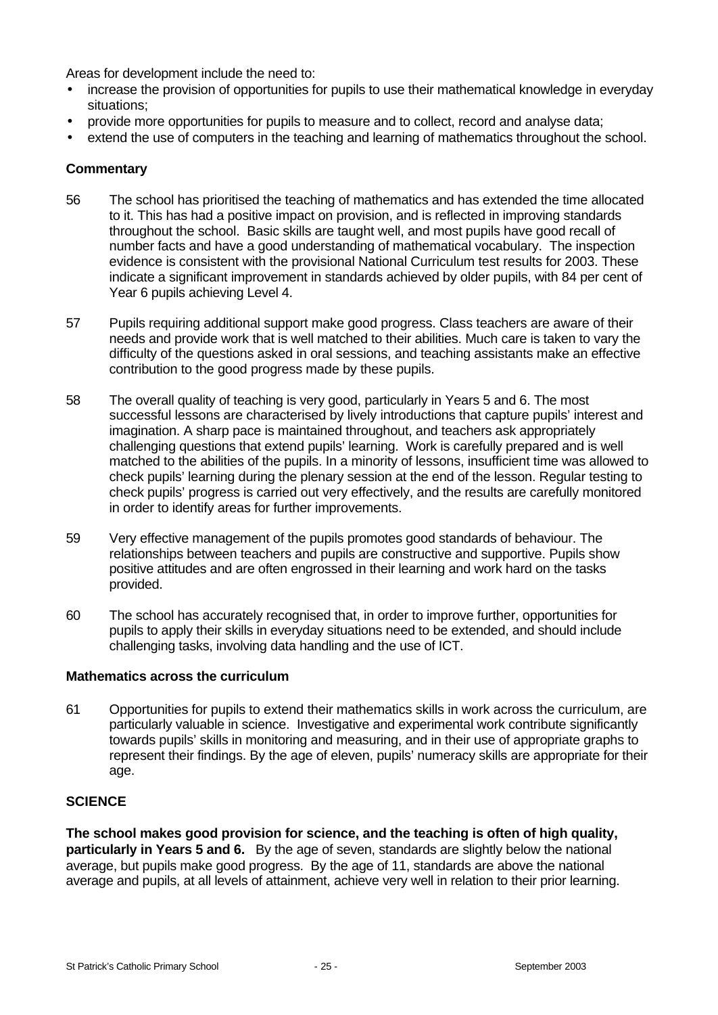Areas for development include the need to:

- increase the provision of opportunities for pupils to use their mathematical knowledge in everyday situations;
- provide more opportunities for pupils to measure and to collect, record and analyse data;
- extend the use of computers in the teaching and learning of mathematics throughout the school.

#### **Commentary**

- 56 The school has prioritised the teaching of mathematics and has extended the time allocated to it. This has had a positive impact on provision, and is reflected in improving standards throughout the school. Basic skills are taught well, and most pupils have good recall of number facts and have a good understanding of mathematical vocabulary. The inspection evidence is consistent with the provisional National Curriculum test results for 2003. These indicate a significant improvement in standards achieved by older pupils, with 84 per cent of Year 6 pupils achieving Level 4.
- 57 Pupils requiring additional support make good progress. Class teachers are aware of their needs and provide work that is well matched to their abilities. Much care is taken to vary the difficulty of the questions asked in oral sessions, and teaching assistants make an effective contribution to the good progress made by these pupils.
- 58 The overall quality of teaching is very good, particularly in Years 5 and 6. The most successful lessons are characterised by lively introductions that capture pupils' interest and imagination. A sharp pace is maintained throughout, and teachers ask appropriately challenging questions that extend pupils' learning. Work is carefully prepared and is well matched to the abilities of the pupils. In a minority of lessons, insufficient time was allowed to check pupils' learning during the plenary session at the end of the lesson. Regular testing to check pupils' progress is carried out very effectively, and the results are carefully monitored in order to identify areas for further improvements.
- 59 Very effective management of the pupils promotes good standards of behaviour. The relationships between teachers and pupils are constructive and supportive. Pupils show positive attitudes and are often engrossed in their learning and work hard on the tasks provided.
- 60 The school has accurately recognised that, in order to improve further, opportunities for pupils to apply their skills in everyday situations need to be extended, and should include challenging tasks, involving data handling and the use of ICT.

#### **Mathematics across the curriculum**

61 Opportunities for pupils to extend their mathematics skills in work across the curriculum, are particularly valuable in science. Investigative and experimental work contribute significantly towards pupils' skills in monitoring and measuring, and in their use of appropriate graphs to represent their findings. By the age of eleven, pupils' numeracy skills are appropriate for their age.

#### **SCIENCE**

**The school makes good provision for science, and the teaching is often of high quality, particularly in Years 5 and 6.** By the age of seven, standards are slightly below the national average, but pupils make good progress. By the age of 11, standards are above the national average and pupils, at all levels of attainment, achieve very well in relation to their prior learning.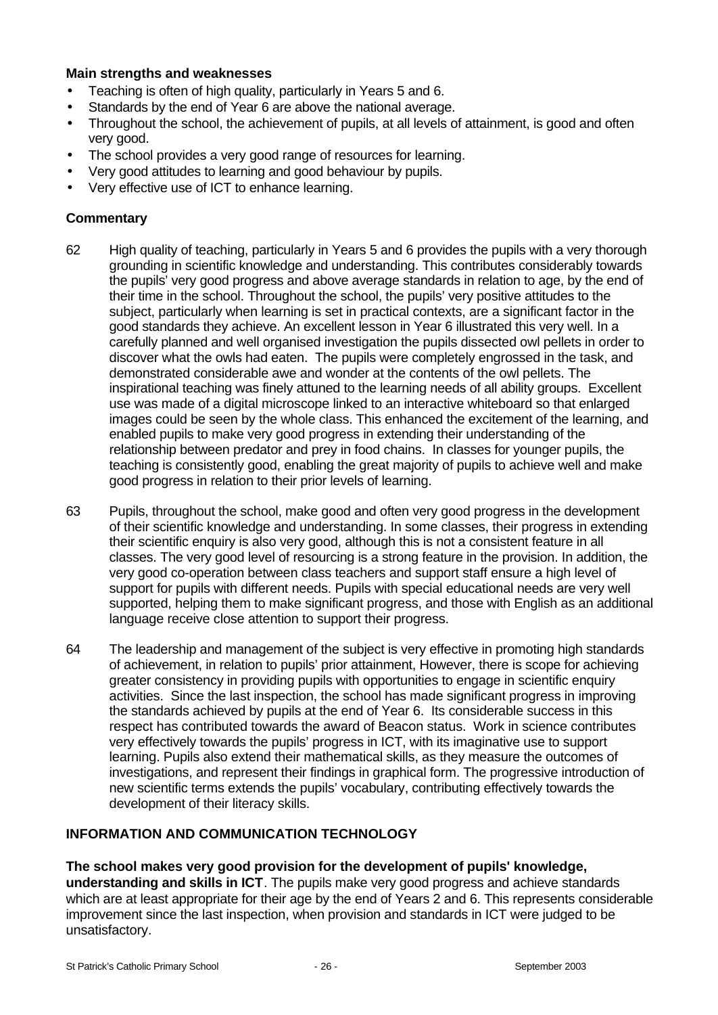#### **Main strengths and weaknesses**

- Teaching is often of high quality, particularly in Years 5 and 6.
- Standards by the end of Year 6 are above the national average.
- Throughout the school, the achievement of pupils, at all levels of attainment, is good and often very good.
- The school provides a very good range of resources for learning.
- Very good attitudes to learning and good behaviour by pupils.
- Very effective use of ICT to enhance learning.

# **Commentary**

- 62 High quality of teaching, particularly in Years 5 and 6 provides the pupils with a very thorough grounding in scientific knowledge and understanding. This contributes considerably towards the pupils' very good progress and above average standards in relation to age, by the end of their time in the school. Throughout the school, the pupils' very positive attitudes to the subject, particularly when learning is set in practical contexts, are a significant factor in the good standards they achieve. An excellent lesson in Year 6 illustrated this very well. In a carefully planned and well organised investigation the pupils dissected owl pellets in order to discover what the owls had eaten. The pupils were completely engrossed in the task, and demonstrated considerable awe and wonder at the contents of the owl pellets. The inspirational teaching was finely attuned to the learning needs of all ability groups. Excellent use was made of a digital microscope linked to an interactive whiteboard so that enlarged images could be seen by the whole class. This enhanced the excitement of the learning, and enabled pupils to make very good progress in extending their understanding of the relationship between predator and prey in food chains. In classes for younger pupils, the teaching is consistently good, enabling the great majority of pupils to achieve well and make good progress in relation to their prior levels of learning.
- 63 Pupils, throughout the school, make good and often very good progress in the development of their scientific knowledge and understanding. In some classes, their progress in extending their scientific enquiry is also very good, although this is not a consistent feature in all classes. The very good level of resourcing is a strong feature in the provision. In addition, the very good co-operation between class teachers and support staff ensure a high level of support for pupils with different needs. Pupils with special educational needs are very well supported, helping them to make significant progress, and those with English as an additional language receive close attention to support their progress.
- 64 The leadership and management of the subject is very effective in promoting high standards of achievement, in relation to pupils' prior attainment, However, there is scope for achieving greater consistency in providing pupils with opportunities to engage in scientific enquiry activities. Since the last inspection, the school has made significant progress in improving the standards achieved by pupils at the end of Year 6. Its considerable success in this respect has contributed towards the award of Beacon status. Work in science contributes very effectively towards the pupils' progress in ICT, with its imaginative use to support learning. Pupils also extend their mathematical skills, as they measure the outcomes of investigations, and represent their findings in graphical form. The progressive introduction of new scientific terms extends the pupils' vocabulary, contributing effectively towards the development of their literacy skills.

# **INFORMATION AND COMMUNICATION TECHNOLOGY**

**The school makes very good provision for the development of pupils' knowledge, understanding and skills in ICT**. The pupils make very good progress and achieve standards which are at least appropriate for their age by the end of Years 2 and 6. This represents considerable improvement since the last inspection, when provision and standards in ICT were judged to be unsatisfactory.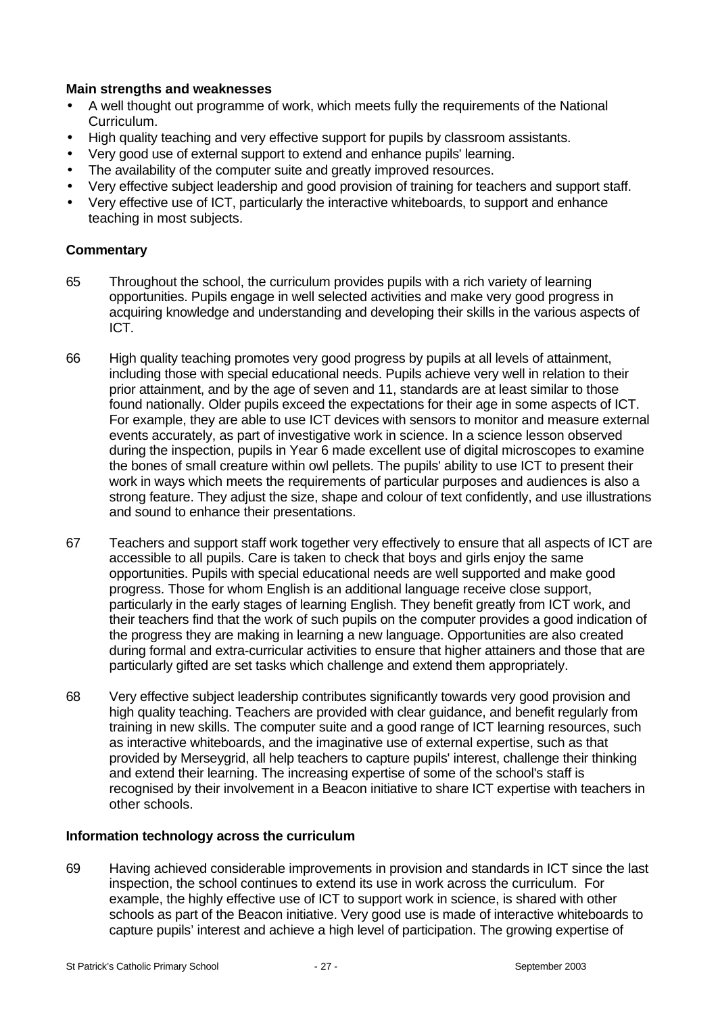# **Main strengths and weaknesses**

- A well thought out programme of work, which meets fully the requirements of the National Curriculum.
- High quality teaching and very effective support for pupils by classroom assistants.
- Very good use of external support to extend and enhance pupils' learning.
- The availability of the computer suite and greatly improved resources.
- Very effective subject leadership and good provision of training for teachers and support staff.
- Very effective use of ICT, particularly the interactive whiteboards, to support and enhance teaching in most subjects.

# **Commentary**

- 65 Throughout the school, the curriculum provides pupils with a rich variety of learning opportunities. Pupils engage in well selected activities and make very good progress in acquiring knowledge and understanding and developing their skills in the various aspects of ICT.
- 66 High quality teaching promotes very good progress by pupils at all levels of attainment, including those with special educational needs. Pupils achieve very well in relation to their prior attainment, and by the age of seven and 11, standards are at least similar to those found nationally. Older pupils exceed the expectations for their age in some aspects of ICT. For example, they are able to use ICT devices with sensors to monitor and measure external events accurately, as part of investigative work in science. In a science lesson observed during the inspection, pupils in Year 6 made excellent use of digital microscopes to examine the bones of small creature within owl pellets. The pupils' ability to use ICT to present their work in ways which meets the requirements of particular purposes and audiences is also a strong feature. They adjust the size, shape and colour of text confidently, and use illustrations and sound to enhance their presentations.
- 67 Teachers and support staff work together very effectively to ensure that all aspects of ICT are accessible to all pupils. Care is taken to check that boys and girls enjoy the same opportunities. Pupils with special educational needs are well supported and make good progress. Those for whom English is an additional language receive close support, particularly in the early stages of learning English. They benefit greatly from ICT work, and their teachers find that the work of such pupils on the computer provides a good indication of the progress they are making in learning a new language. Opportunities are also created during formal and extra-curricular activities to ensure that higher attainers and those that are particularly gifted are set tasks which challenge and extend them appropriately.
- 68 Very effective subject leadership contributes significantly towards very good provision and high quality teaching. Teachers are provided with clear guidance, and benefit regularly from training in new skills. The computer suite and a good range of ICT learning resources, such as interactive whiteboards, and the imaginative use of external expertise, such as that provided by Merseygrid, all help teachers to capture pupils' interest, challenge their thinking and extend their learning. The increasing expertise of some of the school's staff is recognised by their involvement in a Beacon initiative to share ICT expertise with teachers in other schools.

#### **Information technology across the curriculum**

69 Having achieved considerable improvements in provision and standards in ICT since the last inspection, the school continues to extend its use in work across the curriculum. For example, the highly effective use of ICT to support work in science, is shared with other schools as part of the Beacon initiative. Very good use is made of interactive whiteboards to capture pupils' interest and achieve a high level of participation. The growing expertise of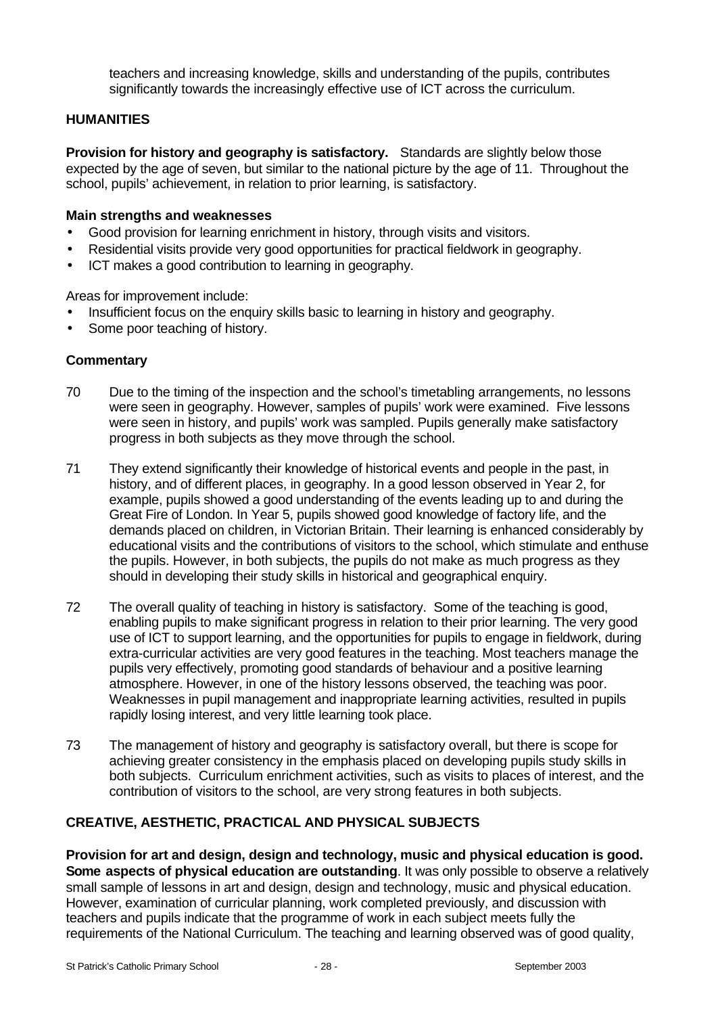teachers and increasing knowledge, skills and understanding of the pupils, contributes significantly towards the increasingly effective use of ICT across the curriculum.

# **HUMANITIES**

**Provision for history and geography is satisfactory.** Standards are slightly below those expected by the age of seven, but similar to the national picture by the age of 11. Throughout the school, pupils' achievement, in relation to prior learning, is satisfactory.

#### **Main strengths and weaknesses**

- Good provision for learning enrichment in history, through visits and visitors.
- Residential visits provide very good opportunities for practical fieldwork in geography.
- ICT makes a good contribution to learning in geography.

Areas for improvement include:

- Insufficient focus on the enquiry skills basic to learning in history and geography.
- Some poor teaching of history.

#### **Commentary**

- 70 Due to the timing of the inspection and the school's timetabling arrangements, no lessons were seen in geography. However, samples of pupils' work were examined. Five lessons were seen in history, and pupils' work was sampled. Pupils generally make satisfactory progress in both subjects as they move through the school.
- 71 They extend significantly their knowledge of historical events and people in the past, in history, and of different places, in geography. In a good lesson observed in Year 2, for example, pupils showed a good understanding of the events leading up to and during the Great Fire of London. In Year 5, pupils showed good knowledge of factory life, and the demands placed on children, in Victorian Britain. Their learning is enhanced considerably by educational visits and the contributions of visitors to the school, which stimulate and enthuse the pupils. However, in both subjects, the pupils do not make as much progress as they should in developing their study skills in historical and geographical enquiry.
- 72 The overall quality of teaching in history is satisfactory. Some of the teaching is good, enabling pupils to make significant progress in relation to their prior learning. The very good use of ICT to support learning, and the opportunities for pupils to engage in fieldwork, during extra-curricular activities are very good features in the teaching. Most teachers manage the pupils very effectively, promoting good standards of behaviour and a positive learning atmosphere. However, in one of the history lessons observed, the teaching was poor. Weaknesses in pupil management and inappropriate learning activities, resulted in pupils rapidly losing interest, and very little learning took place.
- 73 The management of history and geography is satisfactory overall, but there is scope for achieving greater consistency in the emphasis placed on developing pupils study skills in both subjects. Curriculum enrichment activities, such as visits to places of interest, and the contribution of visitors to the school, are very strong features in both subjects.

# **CREATIVE, AESTHETIC, PRACTICAL AND PHYSICAL SUBJECTS**

**Provision for art and design, design and technology, music and physical education is good. Some aspects of physical education are outstanding**. It was only possible to observe a relatively small sample of lessons in art and design, design and technology, music and physical education. However, examination of curricular planning, work completed previously, and discussion with teachers and pupils indicate that the programme of work in each subject meets fully the requirements of the National Curriculum. The teaching and learning observed was of good quality,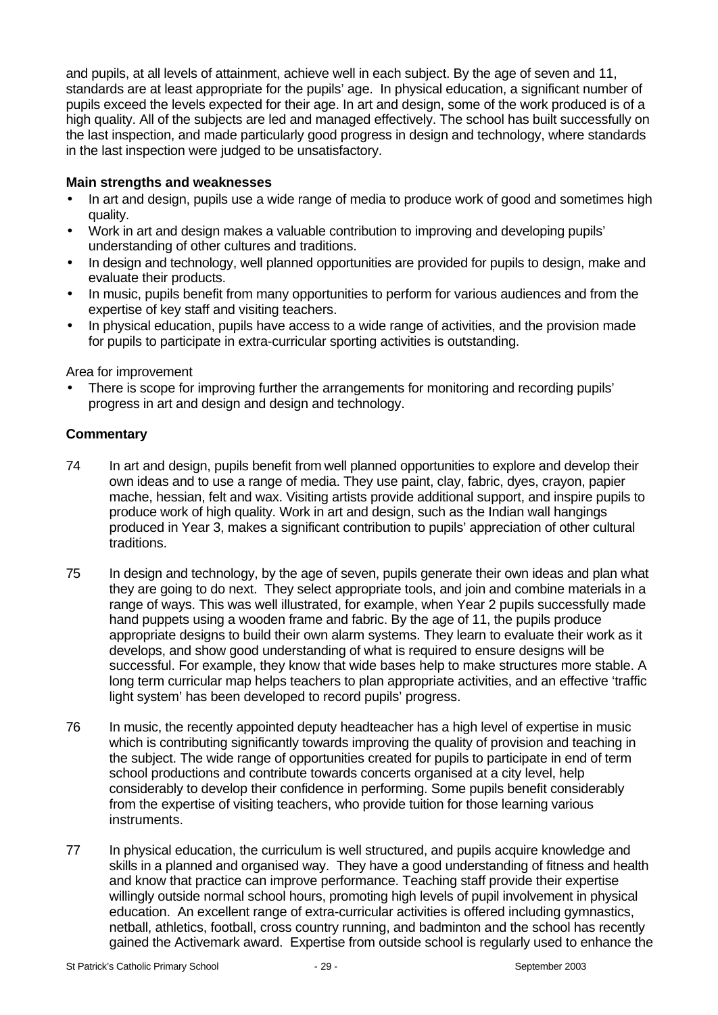and pupils, at all levels of attainment, achieve well in each subject. By the age of seven and 11, standards are at least appropriate for the pupils' age. In physical education, a significant number of pupils exceed the levels expected for their age. In art and design, some of the work produced is of a high quality. All of the subjects are led and managed effectively. The school has built successfully on the last inspection, and made particularly good progress in design and technology, where standards in the last inspection were judged to be unsatisfactory.

# **Main strengths and weaknesses**

- In art and design, pupils use a wide range of media to produce work of good and sometimes high quality.
- Work in art and design makes a valuable contribution to improving and developing pupils' understanding of other cultures and traditions.
- In design and technology, well planned opportunities are provided for pupils to design, make and evaluate their products.
- In music, pupils benefit from many opportunities to perform for various audiences and from the expertise of key staff and visiting teachers.
- In physical education, pupils have access to a wide range of activities, and the provision made for pupils to participate in extra-curricular sporting activities is outstanding.

#### Area for improvement

• There is scope for improving further the arrangements for monitoring and recording pupils' progress in art and design and design and technology.

- 74 In art and design, pupils benefit from well planned opportunities to explore and develop their own ideas and to use a range of media. They use paint, clay, fabric, dyes, crayon, papier mache, hessian, felt and wax. Visiting artists provide additional support, and inspire pupils to produce work of high quality. Work in art and design, such as the Indian wall hangings produced in Year 3, makes a significant contribution to pupils' appreciation of other cultural traditions.
- 75 In design and technology, by the age of seven, pupils generate their own ideas and plan what they are going to do next. They select appropriate tools, and join and combine materials in a range of ways. This was well illustrated, for example, when Year 2 pupils successfully made hand puppets using a wooden frame and fabric. By the age of 11, the pupils produce appropriate designs to build their own alarm systems. They learn to evaluate their work as it develops, and show good understanding of what is required to ensure designs will be successful. For example, they know that wide bases help to make structures more stable. A long term curricular map helps teachers to plan appropriate activities, and an effective 'traffic light system' has been developed to record pupils' progress.
- 76 In music, the recently appointed deputy headteacher has a high level of expertise in music which is contributing significantly towards improving the quality of provision and teaching in the subject. The wide range of opportunities created for pupils to participate in end of term school productions and contribute towards concerts organised at a city level, help considerably to develop their confidence in performing. Some pupils benefit considerably from the expertise of visiting teachers, who provide tuition for those learning various instruments.
- 77 In physical education, the curriculum is well structured, and pupils acquire knowledge and skills in a planned and organised way. They have a good understanding of fitness and health and know that practice can improve performance. Teaching staff provide their expertise willingly outside normal school hours, promoting high levels of pupil involvement in physical education. An excellent range of extra-curricular activities is offered including gymnastics, netball, athletics, football, cross country running, and badminton and the school has recently gained the Activemark award. Expertise from outside school is regularly used to enhance the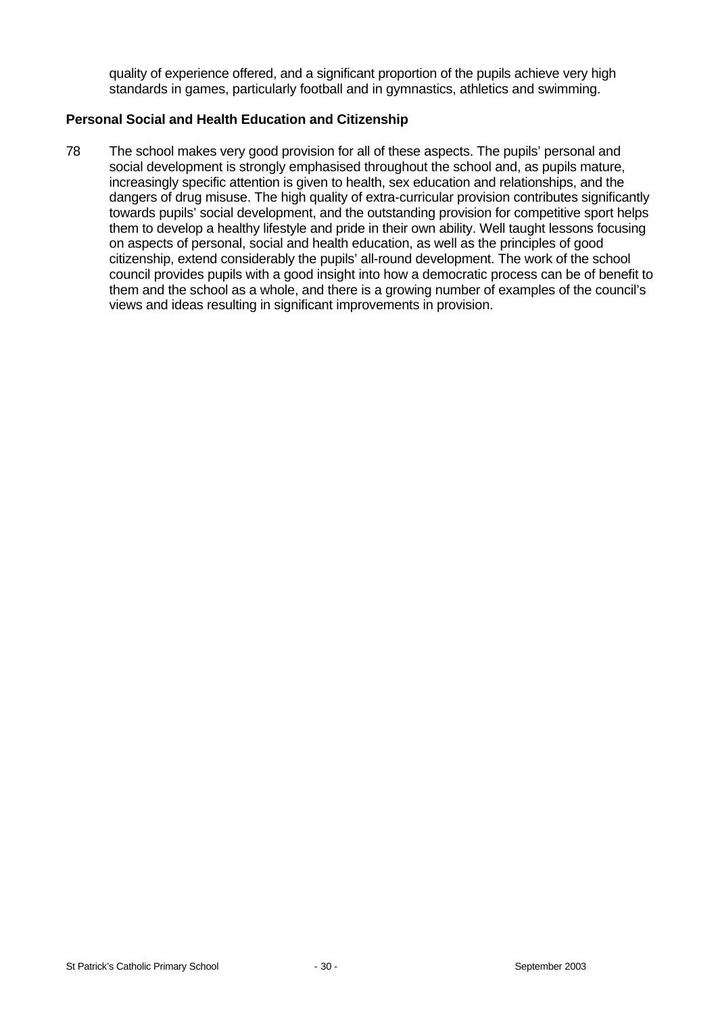quality of experience offered, and a significant proportion of the pupils achieve very high standards in games, particularly football and in gymnastics, athletics and swimming.

#### **Personal Social and Health Education and Citizenship**

78 The school makes very good provision for all of these aspects. The pupils' personal and social development is strongly emphasised throughout the school and, as pupils mature, increasingly specific attention is given to health, sex education and relationships, and the dangers of drug misuse. The high quality of extra-curricular provision contributes significantly towards pupils' social development, and the outstanding provision for competitive sport helps them to develop a healthy lifestyle and pride in their own ability. Well taught lessons focusing on aspects of personal, social and health education, as well as the principles of good citizenship, extend considerably the pupils' all-round development. The work of the school council provides pupils with a good insight into how a democratic process can be of benefit to them and the school as a whole, and there is a growing number of examples of the council's views and ideas resulting in significant improvements in provision.